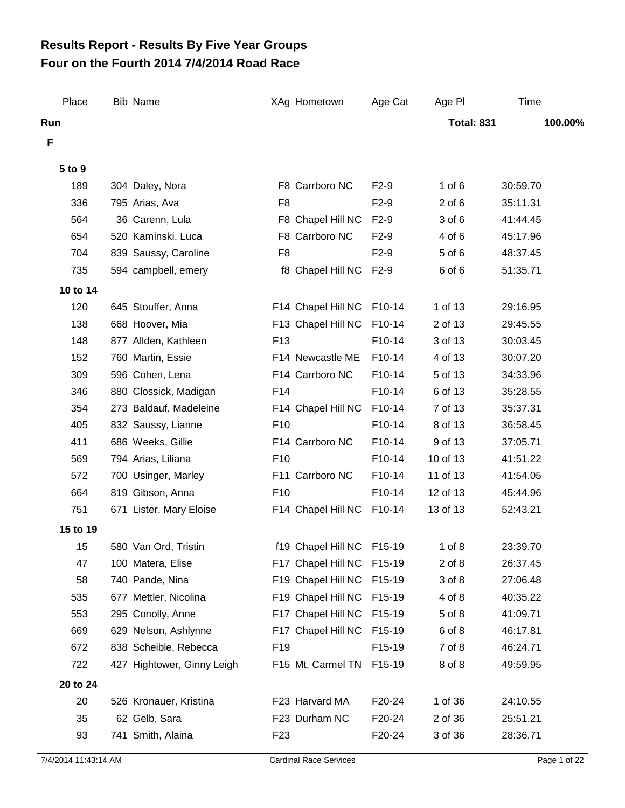## **Four on the Fourth 2014 7/4/2014 Road Race Results Report - Results By Five Year Groups**

| Place    | Bib Name                   |                 | XAg Hometown              | Age Cat | Age PI            | Time     |
|----------|----------------------------|-----------------|---------------------------|---------|-------------------|----------|
| Run      |                            |                 |                           |         | <b>Total: 831</b> | 100.00%  |
| F        |                            |                 |                           |         |                   |          |
| 5 to 9   |                            |                 |                           |         |                   |          |
| 189      | 304 Daley, Nora            |                 | F8 Carrboro NC            | $F2-9$  | 1 of $6$          | 30:59.70 |
| 336      | 795 Arias, Ava             | F <sub>8</sub>  |                           | $F2-9$  | $2$ of $6$        | 35:11.31 |
| 564      | 36 Carenn, Lula            |                 | F8 Chapel Hill NC         | $F2-9$  | 3 of 6            | 41:44.45 |
| 654      | 520 Kaminski, Luca         |                 | F8 Carrboro NC            | $F2-9$  | 4 of 6            | 45:17.96 |
| 704      | 839 Saussy, Caroline       | F <sub>8</sub>  |                           | $F2-9$  | 5 of 6            | 48:37.45 |
| 735      | 594 campbell, emery        |                 | f8 Chapel Hill NC         | F2-9    | 6 of 6            | 51:35.71 |
| 10 to 14 |                            |                 |                           |         |                   |          |
| 120      | 645 Stouffer, Anna         |                 | F14 Chapel Hill NC        | F10-14  | 1 of 13           | 29:16.95 |
| 138      | 668 Hoover, Mia            |                 | F13 Chapel Hill NC        | F10-14  | 2 of 13           | 29:45.55 |
| 148      | 877 Allden, Kathleen       | F <sub>13</sub> |                           | F10-14  | 3 of 13           | 30:03.45 |
| 152      | 760 Martin, Essie          |                 | F14 Newcastle ME          | F10-14  | 4 of 13           | 30:07.20 |
| 309      | 596 Cohen, Lena            |                 | F14 Carrboro NC           | F10-14  | 5 of 13           | 34:33.96 |
| 346      | 880 Clossick, Madigan      | F14             |                           | F10-14  | 6 of 13           | 35:28.55 |
| 354      | 273 Baldauf, Madeleine     |                 | F14 Chapel Hill NC        | F10-14  | 7 of 13           | 35:37.31 |
| 405      | 832 Saussy, Lianne         | F <sub>10</sub> |                           | F10-14  | 8 of 13           | 36:58.45 |
| 411      | 686 Weeks, Gillie          |                 | F14 Carrboro NC           | F10-14  | 9 of 13           | 37:05.71 |
| 569      | 794 Arias, Liliana         | F <sub>10</sub> |                           | F10-14  | 10 of 13          | 41:51.22 |
| 572      | 700 Usinger, Marley        |                 | F11 Carrboro NC           | F10-14  | 11 of 13          | 41:54.05 |
| 664      | 819 Gibson, Anna           | F10             |                           | F10-14  | 12 of 13          | 45:44.96 |
| 751      | 671 Lister, Mary Eloise    |                 | F14 Chapel Hill NC        | F10-14  | 13 of 13          | 52:43.21 |
| 15 to 19 |                            |                 |                           |         |                   |          |
| 15       | 580 Van Ord, Tristin       |                 | f19 Chapel Hill NC        | F15-19  | 1 of 8            | 23:39.70 |
| 47       | 100 Matera, Elise          |                 | F17 Chapel Hill NC F15-19 |         | $2$ of $8$        | 26:37.45 |
| 58       | 740 Pande, Nina            |                 | F19 Chapel Hill NC        | F15-19  | 3 of 8            | 27:06.48 |
| 535      | 677 Mettler, Nicolina      |                 | F19 Chapel Hill NC        | F15-19  | 4 of 8            | 40:35.22 |
| 553      | 295 Conolly, Anne          |                 | F17 Chapel Hill NC        | F15-19  | 5 of 8            | 41:09.71 |
| 669      | 629 Nelson, Ashlynne       |                 | F17 Chapel Hill NC        | F15-19  | 6 of 8            | 46:17.81 |
| 672      | 838 Scheible, Rebecca      | F <sub>19</sub> |                           | F15-19  | 7 of 8            | 46:24.71 |
| 722      | 427 Hightower, Ginny Leigh |                 | F15 Mt. Carmel TN         | F15-19  | 8 of 8            | 49:59.95 |
| 20 to 24 |                            |                 |                           |         |                   |          |
| 20       | 526 Kronauer, Kristina     |                 | F23 Harvard MA            | F20-24  | 1 of 36           | 24:10.55 |
| 35       | 62 Gelb, Sara              |                 | F23 Durham NC             | F20-24  | 2 of 36           | 25:51.21 |
| 93       | 741 Smith, Alaina          | F <sub>23</sub> |                           | F20-24  | 3 of 36           | 28:36.71 |
|          |                            |                 |                           |         |                   |          |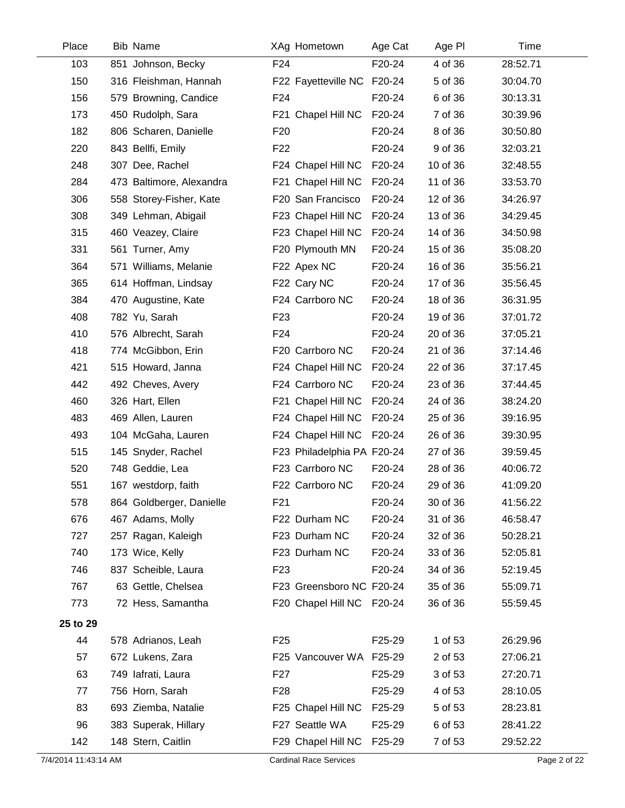| Place    | <b>Bib Name</b>          |                  | XAg Hometown               | Age Cat             | Age PI   | Time     |
|----------|--------------------------|------------------|----------------------------|---------------------|----------|----------|
| 103      | 851 Johnson, Becky       | F <sub>24</sub>  |                            | F20-24              | 4 of 36  | 28:52.71 |
| 150      | 316 Fleishman, Hannah    |                  | F22 Fayetteville NC        | F20-24              | 5 of 36  | 30:04.70 |
| 156      | 579 Browning, Candice    | F <sub>24</sub>  |                            | F20-24              | 6 of 36  | 30:13.31 |
| 173      | 450 Rudolph, Sara        |                  | F21 Chapel Hill NC         | F20-24              | 7 of 36  | 30:39.96 |
| 182      | 806 Scharen, Danielle    | F <sub>20</sub>  |                            | F20-24              | 8 of 36  | 30:50.80 |
| 220      | 843 Bellfi, Emily        | F <sub>22</sub>  |                            | F20-24              | 9 of 36  | 32:03.21 |
| 248      | 307 Dee, Rachel          |                  | F24 Chapel Hill NC         | F20-24              | 10 of 36 | 32:48.55 |
| 284      | 473 Baltimore, Alexandra |                  | F21 Chapel Hill NC         | F20-24              | 11 of 36 | 33:53.70 |
| 306      | 558 Storey-Fisher, Kate  |                  | F20 San Francisco          | F20-24              | 12 of 36 | 34:26.97 |
| 308      | 349 Lehman, Abigail      |                  | F23 Chapel Hill NC         | F20-24              | 13 of 36 | 34:29.45 |
| 315      | 460 Veazey, Claire       |                  | F23 Chapel Hill NC         | F20-24              | 14 of 36 | 34:50.98 |
| 331      | 561 Turner, Amy          |                  | F20 Plymouth MN            | F20-24              | 15 of 36 | 35:08.20 |
| 364      | 571 Williams, Melanie    |                  | F22 Apex NC                | F20-24              | 16 of 36 | 35:56.21 |
| 365      | 614 Hoffman, Lindsay     |                  | F22 Cary NC                | F20-24              | 17 of 36 | 35:56.45 |
| 384      | 470 Augustine, Kate      |                  | F24 Carrboro NC            | F20-24              | 18 of 36 | 36:31.95 |
| 408      | 782 Yu, Sarah            | F <sub>23</sub>  |                            | F20-24              | 19 of 36 | 37:01.72 |
| 410      | 576 Albrecht, Sarah      | F <sub>24</sub>  |                            | F20-24              | 20 of 36 | 37:05.21 |
| 418      | 774 McGibbon, Erin       |                  | F20 Carrboro NC            | F20-24              | 21 of 36 | 37:14.46 |
| 421      | 515 Howard, Janna        |                  | F24 Chapel Hill NC         | F20-24              | 22 of 36 | 37:17.45 |
| 442      | 492 Cheves, Avery        |                  | F24 Carrboro NC            | F20-24              | 23 of 36 | 37:44.45 |
| 460      | 326 Hart, Ellen          |                  | F21 Chapel Hill NC         | F20-24              | 24 of 36 | 38:24.20 |
| 483      | 469 Allen, Lauren        |                  | F24 Chapel Hill NC         | F20-24              | 25 of 36 | 39:16.95 |
| 493      | 104 McGaha, Lauren       |                  | F24 Chapel Hill NC         | F20-24              | 26 of 36 | 39:30.95 |
| 515      | 145 Snyder, Rachel       |                  | F23 Philadelphia PA F20-24 |                     | 27 of 36 | 39:59.45 |
| 520      | 748 Geddie, Lea          |                  | F23 Carrboro NC            | F20-24              | 28 of 36 | 40:06.72 |
| 551      | 167 westdorp, faith      |                  | F22 Carrboro NC            | F20-24              | 29 of 36 | 41:09.20 |
| 578      | 864 Goldberger, Danielle | F <sub>21</sub>  |                            | F20-24              | 30 of 36 | 41:56.22 |
| 676      | 467 Adams, Molly         |                  | F22 Durham NC              | F20-24              | 31 of 36 | 46:58.47 |
| 727      | 257 Ragan, Kaleigh       |                  | F23 Durham NC              | F20-24              | 32 of 36 | 50:28.21 |
| 740      | 173 Wice, Kelly          |                  | F23 Durham NC              | F20-24              | 33 of 36 | 52:05.81 |
| 746      | 837 Scheible, Laura      | F <sub>23</sub>  |                            | F20-24              | 34 of 36 | 52:19.45 |
| 767      | 63 Gettle, Chelsea       |                  | F23 Greensboro NC F20-24   |                     | 35 of 36 | 55:09.71 |
| 773      | 72 Hess, Samantha        |                  | F20 Chapel Hill NC F20-24  |                     | 36 of 36 | 55:59.45 |
| 25 to 29 |                          |                  |                            |                     |          |          |
| 44       | 578 Adrianos, Leah       | F <sub>25</sub>  |                            | F25-29              | 1 of 53  | 26:29.96 |
| 57       | 672 Lukens, Zara         |                  | F25 Vancouver WA F25-29    |                     | 2 of 53  | 27:06.21 |
| 63       | 749 lafrati, Laura       | F <sub>2</sub> 7 |                            | F <sub>25</sub> -29 | 3 of 53  | 27:20.71 |
| 77       | 756 Horn, Sarah          | F <sub>28</sub>  |                            | F25-29              | 4 of 53  | 28:10.05 |
| 83       | 693 Ziemba, Natalie      |                  | F25 Chapel Hill NC         | F25-29              | 5 of 53  | 28:23.81 |
| 96       | 383 Superak, Hillary     |                  | F27 Seattle WA             | F25-29              | 6 of 53  | 28:41.22 |
| 142      | 148 Stern, Caitlin       |                  | F29 Chapel Hill NC         | F25-29              | 7 of 53  | 29:52.22 |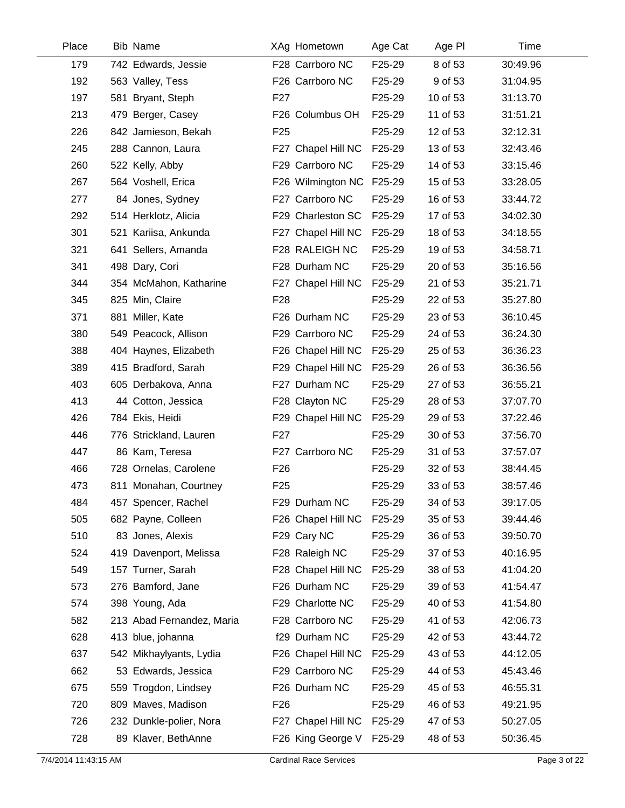| Place | <b>Bib Name</b> |                           |                 | XAg Hometown       | Age Cat | Age PI   | Time     |
|-------|-----------------|---------------------------|-----------------|--------------------|---------|----------|----------|
| 179   |                 | 742 Edwards, Jessie       |                 | F28 Carrboro NC    | F25-29  | 8 of 53  | 30:49.96 |
| 192   |                 | 563 Valley, Tess          |                 | F26 Carrboro NC    | F25-29  | 9 of 53  | 31:04.95 |
| 197   |                 | 581 Bryant, Steph         | F <sub>27</sub> |                    | F25-29  | 10 of 53 | 31:13.70 |
| 213   |                 | 479 Berger, Casey         |                 | F26 Columbus OH    | F25-29  | 11 of 53 | 31:51.21 |
| 226   |                 | 842 Jamieson, Bekah       | F <sub>25</sub> |                    | F25-29  | 12 of 53 | 32:12.31 |
| 245   |                 | 288 Cannon, Laura         |                 | F27 Chapel Hill NC | F25-29  | 13 of 53 | 32:43.46 |
| 260   |                 | 522 Kelly, Abby           |                 | F29 Carrboro NC    | F25-29  | 14 of 53 | 33:15.46 |
| 267   |                 | 564 Voshell, Erica        |                 | F26 Wilmington NC  | F25-29  | 15 of 53 | 33:28.05 |
| 277   |                 | 84 Jones, Sydney          |                 | F27 Carrboro NC    | F25-29  | 16 of 53 | 33:44.72 |
| 292   |                 | 514 Herklotz, Alicia      |                 | F29 Charleston SC  | F25-29  | 17 of 53 | 34:02.30 |
| 301   |                 | 521 Kariisa, Ankunda      |                 | F27 Chapel Hill NC | F25-29  | 18 of 53 | 34:18.55 |
| 321   |                 | 641 Sellers, Amanda       |                 | F28 RALEIGH NC     | F25-29  | 19 of 53 | 34:58.71 |
| 341   |                 | 498 Dary, Cori            |                 | F28 Durham NC      | F25-29  | 20 of 53 | 35:16.56 |
| 344   |                 | 354 McMahon, Katharine    |                 | F27 Chapel Hill NC | F25-29  | 21 of 53 | 35:21.71 |
| 345   |                 | 825 Min, Claire           | F <sub>28</sub> |                    | F25-29  | 22 of 53 | 35:27.80 |
| 371   |                 | 881 Miller, Kate          |                 | F26 Durham NC      | F25-29  | 23 of 53 | 36:10.45 |
| 380   |                 | 549 Peacock, Allison      |                 | F29 Carrboro NC    | F25-29  | 24 of 53 | 36:24.30 |
| 388   |                 | 404 Haynes, Elizabeth     |                 | F26 Chapel Hill NC | F25-29  | 25 of 53 | 36:36.23 |
| 389   |                 | 415 Bradford, Sarah       |                 | F29 Chapel Hill NC | F25-29  | 26 of 53 | 36:36.56 |
| 403   |                 | 605 Derbakova, Anna       |                 | F27 Durham NC      | F25-29  | 27 of 53 | 36:55.21 |
| 413   |                 | 44 Cotton, Jessica        |                 | F28 Clayton NC     | F25-29  | 28 of 53 | 37:07.70 |
| 426   |                 | 784 Ekis, Heidi           |                 | F29 Chapel Hill NC | F25-29  | 29 of 53 | 37:22.46 |
| 446   |                 | 776 Strickland, Lauren    | F <sub>27</sub> |                    | F25-29  | 30 of 53 | 37:56.70 |
| 447   |                 | 86 Kam, Teresa            |                 | F27 Carrboro NC    | F25-29  | 31 of 53 | 37:57.07 |
| 466   |                 | 728 Ornelas, Carolene     | F <sub>26</sub> |                    | F25-29  | 32 of 53 | 38:44.45 |
| 473   |                 | 811 Monahan, Courtney     | F <sub>25</sub> |                    | F25-29  | 33 of 53 | 38:57.46 |
| 484   |                 | 457 Spencer, Rachel       |                 | F29 Durham NC      | F25-29  | 34 of 53 | 39:17.05 |
| 505   |                 | 682 Payne, Colleen        |                 | F26 Chapel Hill NC | F25-29  | 35 of 53 | 39:44.46 |
| 510   |                 | 83 Jones, Alexis          |                 | F29 Cary NC        | F25-29  | 36 of 53 | 39:50.70 |
| 524   |                 | 419 Davenport, Melissa    |                 | F28 Raleigh NC     | F25-29  | 37 of 53 | 40:16.95 |
| 549   |                 | 157 Turner, Sarah         |                 | F28 Chapel Hill NC | F25-29  | 38 of 53 | 41:04.20 |
| 573   |                 | 276 Bamford, Jane         |                 | F26 Durham NC      | F25-29  | 39 of 53 | 41:54.47 |
| 574   |                 | 398 Young, Ada            |                 | F29 Charlotte NC   | F25-29  | 40 of 53 | 41:54.80 |
| 582   |                 | 213 Abad Fernandez, Maria |                 | F28 Carrboro NC    | F25-29  | 41 of 53 | 42:06.73 |
| 628   |                 | 413 blue, johanna         |                 | f29 Durham NC      | F25-29  | 42 of 53 | 43:44.72 |
| 637   |                 | 542 Mikhaylyants, Lydia   |                 | F26 Chapel Hill NC | F25-29  | 43 of 53 | 44:12.05 |
| 662   |                 | 53 Edwards, Jessica       |                 | F29 Carrboro NC    | F25-29  | 44 of 53 | 45:43.46 |
| 675   |                 | 559 Trogdon, Lindsey      |                 | F26 Durham NC      | F25-29  | 45 of 53 | 46:55.31 |
| 720   |                 | 809 Maves, Madison        | F <sub>26</sub> |                    | F25-29  | 46 of 53 | 49:21.95 |
| 726   |                 | 232 Dunkle-polier, Nora   |                 | F27 Chapel Hill NC | F25-29  | 47 of 53 | 50:27.05 |
| 728   |                 | 89 Klaver, BethAnne       |                 | F26 King George V  | F25-29  | 48 of 53 | 50:36.45 |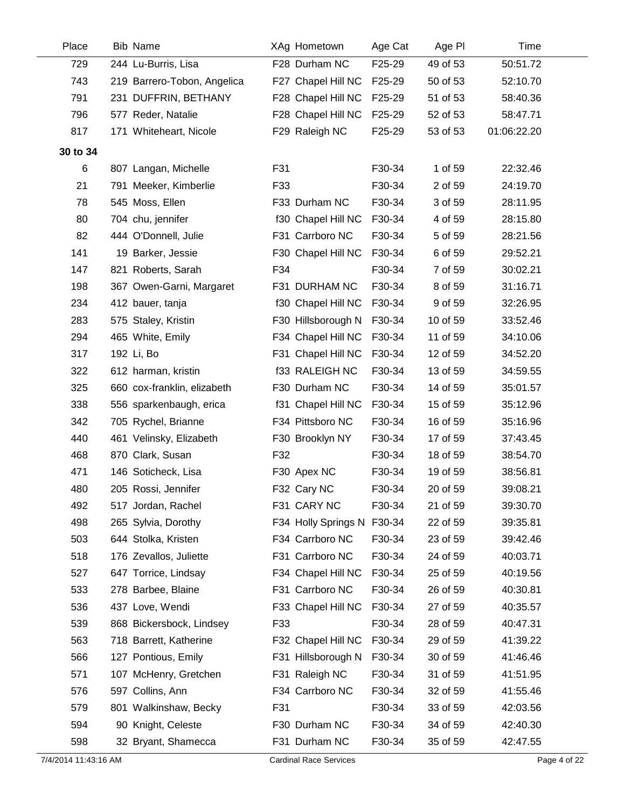| Place    | <b>Bib Name</b>             |     | XAg Hometown        | Age Cat | Age PI   | Time        |
|----------|-----------------------------|-----|---------------------|---------|----------|-------------|
| 729      | 244 Lu-Burris, Lisa         |     | F28 Durham NC       | F25-29  | 49 of 53 | 50:51.72    |
| 743      | 219 Barrero-Tobon, Angelica |     | F27 Chapel Hill NC  | F25-29  | 50 of 53 | 52:10.70    |
| 791      | 231 DUFFRIN, BETHANY        |     | F28 Chapel Hill NC  | F25-29  | 51 of 53 | 58:40.36    |
| 796      | 577 Reder, Natalie          |     | F28 Chapel Hill NC  | F25-29  | 52 of 53 | 58:47.71    |
| 817      | 171 Whiteheart, Nicole      |     | F29 Raleigh NC      | F25-29  | 53 of 53 | 01:06:22.20 |
| 30 to 34 |                             |     |                     |         |          |             |
| 6        | 807 Langan, Michelle        | F31 |                     | F30-34  | 1 of 59  | 22:32.46    |
| 21       | 791 Meeker, Kimberlie       | F33 |                     | F30-34  | 2 of 59  | 24:19.70    |
| 78       | 545 Moss, Ellen             |     | F33 Durham NC       | F30-34  | 3 of 59  | 28:11.95    |
| 80       | 704 chu, jennifer           |     | f30 Chapel Hill NC  | F30-34  | 4 of 59  | 28:15.80    |
| 82       | 444 O'Donnell, Julie        |     | F31 Carrboro NC     | F30-34  | 5 of 59  | 28:21.56    |
| 141      | 19 Barker, Jessie           |     | F30 Chapel Hill NC  | F30-34  | 6 of 59  | 29:52.21    |
| 147      | 821 Roberts, Sarah          | F34 |                     | F30-34  | 7 of 59  | 30:02.21    |
| 198      | 367 Owen-Garni, Margaret    |     | F31 DURHAM NC       | F30-34  | 8 of 59  | 31:16.71    |
| 234      | 412 bauer, tanja            |     | f30 Chapel Hill NC  | F30-34  | 9 of 59  | 32:26.95    |
| 283      | 575 Staley, Kristin         |     | F30 Hillsborough N  | F30-34  | 10 of 59 | 33:52.46    |
| 294      | 465 White, Emily            |     | F34 Chapel Hill NC  | F30-34  | 11 of 59 | 34:10.06    |
| 317      | 192 Li, Bo                  |     | F31 Chapel Hill NC  | F30-34  | 12 of 59 | 34:52.20    |
| 322      | 612 harman, kristin         |     | f33 RALEIGH NC      | F30-34  | 13 of 59 | 34:59.55    |
| 325      | 660 cox-franklin, elizabeth |     | F30 Durham NC       | F30-34  | 14 of 59 | 35:01.57    |
| 338      | 556 sparkenbaugh, erica     |     | f31 Chapel Hill NC  | F30-34  | 15 of 59 | 35:12.96    |
| 342      | 705 Rychel, Brianne         |     | F34 Pittsboro NC    | F30-34  | 16 of 59 | 35:16.96    |
| 440      | 461 Velinsky, Elizabeth     |     | F30 Brooklyn NY     | F30-34  | 17 of 59 | 37:43.45    |
| 468      | 870 Clark, Susan            | F32 |                     | F30-34  | 18 of 59 | 38:54.70    |
| 471      | 146 Soticheck, Lisa         |     | F30 Apex NC         | F30-34  | 19 of 59 | 38:56.81    |
| 480      | 205 Rossi, Jennifer         |     | F32 Cary NC         | F30-34  | 20 of 59 | 39:08.21    |
| 492      | 517 Jordan, Rachel          |     | F31 CARY NC         | F30-34  | 21 of 59 | 39:30.70    |
| 498      | 265 Sylvia, Dorothy         |     | F34 Holly Springs N | F30-34  | 22 of 59 | 39:35.81    |
| 503      | 644 Stolka, Kristen         |     | F34 Carrboro NC     | F30-34  | 23 of 59 | 39:42.46    |
| 518      | 176 Zevallos, Juliette      |     | F31 Carrboro NC     | F30-34  | 24 of 59 | 40:03.71    |
| 527      | 647 Torrice, Lindsay        |     | F34 Chapel Hill NC  | F30-34  | 25 of 59 | 40:19.56    |
| 533      | 278 Barbee, Blaine          |     | F31 Carrboro NC     | F30-34  | 26 of 59 | 40:30.81    |
| 536      | 437 Love, Wendi             |     | F33 Chapel Hill NC  | F30-34  | 27 of 59 | 40:35.57    |
| 539      | 868 Bickersbock, Lindsey    | F33 |                     | F30-34  | 28 of 59 | 40:47.31    |
| 563      | 718 Barrett, Katherine      |     | F32 Chapel Hill NC  | F30-34  | 29 of 59 | 41:39.22    |
| 566      | 127 Pontious, Emily         |     | F31 Hillsborough N  | F30-34  | 30 of 59 | 41:46.46    |
| 571      | 107 McHenry, Gretchen       |     | F31 Raleigh NC      | F30-34  | 31 of 59 | 41:51.95    |
| 576      | 597 Collins, Ann            |     | F34 Carrboro NC     | F30-34  | 32 of 59 | 41:55.46    |
| 579      | 801 Walkinshaw, Becky       | F31 |                     | F30-34  | 33 of 59 | 42:03.56    |
| 594      | 90 Knight, Celeste          |     | F30 Durham NC       | F30-34  | 34 of 59 | 42:40.30    |
| 598      | 32 Bryant, Shamecca         |     | F31 Durham NC       | F30-34  | 35 of 59 | 42:47.55    |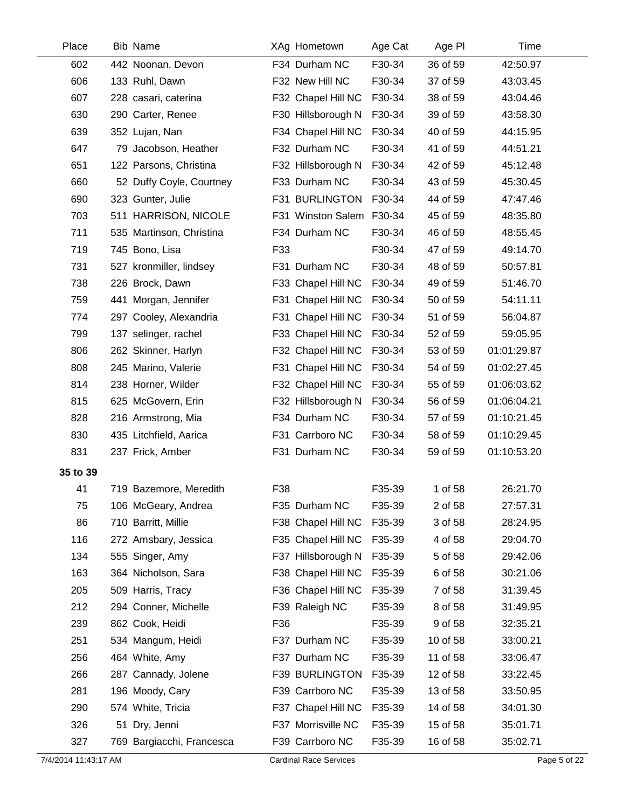| Place    | <b>Bib Name</b>           |     | XAg Hometown       | Age Cat | Age PI   | Time        |
|----------|---------------------------|-----|--------------------|---------|----------|-------------|
| 602      | 442 Noonan, Devon         |     | F34 Durham NC      | F30-34  | 36 of 59 | 42:50.97    |
| 606      | 133 Ruhl, Dawn            |     | F32 New Hill NC    | F30-34  | 37 of 59 | 43:03.45    |
| 607      | 228 casari, caterina      |     | F32 Chapel Hill NC | F30-34  | 38 of 59 | 43:04.46    |
| 630      | 290 Carter, Renee         |     | F30 Hillsborough N | F30-34  | 39 of 59 | 43:58.30    |
| 639      | 352 Lujan, Nan            |     | F34 Chapel Hill NC | F30-34  | 40 of 59 | 44:15.95    |
| 647      | 79 Jacobson, Heather      |     | F32 Durham NC      | F30-34  | 41 of 59 | 44:51.21    |
| 651      | 122 Parsons, Christina    |     | F32 Hillsborough N | F30-34  | 42 of 59 | 45:12.48    |
| 660      | 52 Duffy Coyle, Courtney  |     | F33 Durham NC      | F30-34  | 43 of 59 | 45:30.45    |
| 690      | 323 Gunter, Julie         |     | F31 BURLINGTON     | F30-34  | 44 of 59 | 47:47.46    |
| 703      | 511 HARRISON, NICOLE      |     | F31 Winston Salem  | F30-34  | 45 of 59 | 48:35.80    |
| 711      | 535 Martinson, Christina  |     | F34 Durham NC      | F30-34  | 46 of 59 | 48:55.45    |
| 719      | 745 Bono, Lisa            | F33 |                    | F30-34  | 47 of 59 | 49:14.70    |
| 731      | 527 kronmiller, lindsey   |     | F31 Durham NC      | F30-34  | 48 of 59 | 50:57.81    |
| 738      | 226 Brock, Dawn           |     | F33 Chapel Hill NC | F30-34  | 49 of 59 | 51:46.70    |
| 759      | 441 Morgan, Jennifer      |     | F31 Chapel Hill NC | F30-34  | 50 of 59 | 54:11.11    |
| 774      | 297 Cooley, Alexandria    |     | F31 Chapel Hill NC | F30-34  | 51 of 59 | 56:04.87    |
| 799      | 137 selinger, rachel      |     | F33 Chapel Hill NC | F30-34  | 52 of 59 | 59:05.95    |
| 806      | 262 Skinner, Harlyn       |     | F32 Chapel Hill NC | F30-34  | 53 of 59 | 01:01:29.87 |
| 808      | 245 Marino, Valerie       |     | F31 Chapel Hill NC | F30-34  | 54 of 59 | 01:02:27.45 |
| 814      | 238 Horner, Wilder        |     | F32 Chapel Hill NC | F30-34  | 55 of 59 | 01:06:03.62 |
| 815      | 625 McGovern, Erin        |     | F32 Hillsborough N | F30-34  | 56 of 59 | 01:06:04.21 |
| 828      | 216 Armstrong, Mia        |     | F34 Durham NC      | F30-34  | 57 of 59 | 01:10:21.45 |
| 830      | 435 Litchfield, Aarica    |     | F31 Carrboro NC    | F30-34  | 58 of 59 | 01:10:29.45 |
| 831      | 237 Frick, Amber          |     | F31 Durham NC      | F30-34  | 59 of 59 | 01:10:53.20 |
| 35 to 39 |                           |     |                    |         |          |             |
| 41       | 719 Bazemore, Meredith    | F38 |                    | F35-39  | 1 of 58  | 26:21.70    |
| 75       | 106 McGeary, Andrea       |     | F35 Durham NC      | F35-39  | 2 of 58  | 27:57.31    |
| 86       | 710 Barritt, Millie       |     | F38 Chapel Hill NC | F35-39  | 3 of 58  | 28:24.95    |
| 116      | 272 Amsbary, Jessica      |     | F35 Chapel Hill NC | F35-39  | 4 of 58  | 29:04.70    |
| 134      | 555 Singer, Amy           |     | F37 Hillsborough N | F35-39  | 5 of 58  | 29:42.06    |
| 163      | 364 Nicholson, Sara       |     | F38 Chapel Hill NC | F35-39  | 6 of 58  | 30:21.06    |
| 205      | 509 Harris, Tracy         |     | F36 Chapel Hill NC | F35-39  | 7 of 58  | 31:39.45    |
| 212      | 294 Conner, Michelle      |     | F39 Raleigh NC     | F35-39  | 8 of 58  | 31:49.95    |
| 239      | 862 Cook, Heidi           | F36 |                    | F35-39  | 9 of 58  | 32:35.21    |
| 251      | 534 Mangum, Heidi         |     | F37 Durham NC      | F35-39  | 10 of 58 | 33:00.21    |
| 256      | 464 White, Amy            |     | F37 Durham NC      | F35-39  | 11 of 58 | 33:06.47    |
| 266      | 287 Cannady, Jolene       |     | F39 BURLINGTON     | F35-39  | 12 of 58 | 33:22.45    |
| 281      | 196 Moody, Cary           |     | F39 Carrboro NC    | F35-39  | 13 of 58 | 33:50.95    |
| 290      | 574 White, Tricia         |     | F37 Chapel Hill NC | F35-39  | 14 of 58 | 34:01.30    |
| 326      | 51 Dry, Jenni             |     | F37 Morrisville NC | F35-39  | 15 of 58 | 35:01.71    |
| 327      | 769 Bargiacchi, Francesca |     | F39 Carrboro NC    | F35-39  | 16 of 58 | 35:02.71    |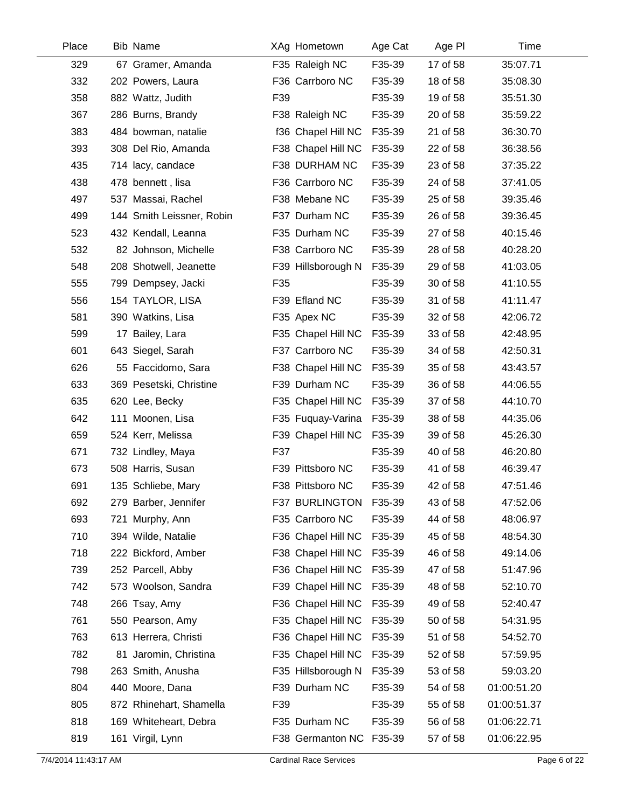| Place | <b>Bib Name</b>           | XAg Hometown            | Age Cat | Age PI   | Time        |  |
|-------|---------------------------|-------------------------|---------|----------|-------------|--|
| 329   | 67 Gramer, Amanda         | F35 Raleigh NC          | F35-39  | 17 of 58 | 35:07.71    |  |
| 332   | 202 Powers, Laura         | F36 Carrboro NC         | F35-39  | 18 of 58 | 35:08.30    |  |
| 358   | 882 Wattz, Judith         | F39                     | F35-39  | 19 of 58 | 35:51.30    |  |
| 367   | 286 Burns, Brandy         | F38 Raleigh NC          | F35-39  | 20 of 58 | 35:59.22    |  |
| 383   | 484 bowman, natalie       | f36 Chapel Hill NC      | F35-39  | 21 of 58 | 36:30.70    |  |
| 393   | 308 Del Rio, Amanda       | F38 Chapel Hill NC      | F35-39  | 22 of 58 | 36:38.56    |  |
| 435   | 714 lacy, candace         | F38 DURHAM NC           | F35-39  | 23 of 58 | 37:35.22    |  |
| 438   | 478 bennett, lisa         | F36 Carrboro NC         | F35-39  | 24 of 58 | 37:41.05    |  |
| 497   | 537 Massai, Rachel        | F38 Mebane NC           | F35-39  | 25 of 58 | 39:35.46    |  |
| 499   | 144 Smith Leissner, Robin | F37 Durham NC           | F35-39  | 26 of 58 | 39:36.45    |  |
| 523   | 432 Kendall, Leanna       | F35 Durham NC           | F35-39  | 27 of 58 | 40:15.46    |  |
| 532   | 82 Johnson, Michelle      | F38 Carrboro NC         | F35-39  | 28 of 58 | 40:28.20    |  |
| 548   | 208 Shotwell, Jeanette    | F39 Hillsborough N      | F35-39  | 29 of 58 | 41:03.05    |  |
| 555   | 799 Dempsey, Jacki        | F35                     | F35-39  | 30 of 58 | 41:10.55    |  |
| 556   | 154 TAYLOR, LISA          | F39 Efland NC           | F35-39  | 31 of 58 | 41:11.47    |  |
| 581   | 390 Watkins, Lisa         | F35 Apex NC             | F35-39  | 32 of 58 | 42:06.72    |  |
| 599   | 17 Bailey, Lara           | F35 Chapel Hill NC      | F35-39  | 33 of 58 | 42:48.95    |  |
| 601   | 643 Siegel, Sarah         | F37 Carrboro NC         | F35-39  | 34 of 58 | 42:50.31    |  |
| 626   | 55 Faccidomo, Sara        | F38 Chapel Hill NC      | F35-39  | 35 of 58 | 43:43.57    |  |
| 633   | 369 Pesetski, Christine   | F39 Durham NC           | F35-39  | 36 of 58 | 44:06.55    |  |
| 635   | 620 Lee, Becky            | F35 Chapel Hill NC      | F35-39  | 37 of 58 | 44:10.70    |  |
| 642   | 111 Moonen, Lisa          | F35 Fuquay-Varina       | F35-39  | 38 of 58 | 44:35.06    |  |
| 659   | 524 Kerr, Melissa         | F39 Chapel Hill NC      | F35-39  | 39 of 58 | 45:26.30    |  |
| 671   | 732 Lindley, Maya         | F37                     | F35-39  | 40 of 58 | 46:20.80    |  |
| 673   | 508 Harris, Susan         | F39 Pittsboro NC        | F35-39  | 41 of 58 | 46:39.47    |  |
| 691   | 135 Schliebe, Mary        | F38 Pittsboro NC        | F35-39  | 42 of 58 | 47:51.46    |  |
| 692   | 279 Barber, Jennifer      | F37 BURLINGTON          | F35-39  | 43 of 58 | 47:52.06    |  |
| 693   | 721 Murphy, Ann           | F35 Carrboro NC         | F35-39  | 44 of 58 | 48:06.97    |  |
| 710   | 394 Wilde, Natalie        | F36 Chapel Hill NC      | F35-39  | 45 of 58 | 48:54.30    |  |
| 718   | 222 Bickford, Amber       | F38 Chapel Hill NC      | F35-39  | 46 of 58 | 49:14.06    |  |
| 739   | 252 Parcell, Abby         | F36 Chapel Hill NC      | F35-39  | 47 of 58 | 51:47.96    |  |
| 742   | 573 Woolson, Sandra       | F39 Chapel Hill NC      | F35-39  | 48 of 58 | 52:10.70    |  |
| 748   | 266 Tsay, Amy             | F36 Chapel Hill NC      | F35-39  | 49 of 58 | 52:40.47    |  |
| 761   | 550 Pearson, Amy          | F35 Chapel Hill NC      | F35-39  | 50 of 58 | 54:31.95    |  |
| 763   | 613 Herrera, Christi      | F36 Chapel Hill NC      | F35-39  | 51 of 58 | 54:52.70    |  |
| 782   | 81 Jaromin, Christina     | F35 Chapel Hill NC      | F35-39  | 52 of 58 | 57:59.95    |  |
| 798   | 263 Smith, Anusha         | F35 Hillsborough N      | F35-39  | 53 of 58 | 59:03.20    |  |
| 804   | 440 Moore, Dana           | F39 Durham NC           | F35-39  | 54 of 58 | 01:00:51.20 |  |
| 805   | 872 Rhinehart, Shamella   | F39                     | F35-39  | 55 of 58 | 01:00:51.37 |  |
| 818   | 169 Whiteheart, Debra     | F35 Durham NC           | F35-39  | 56 of 58 | 01:06:22.71 |  |
| 819   | 161 Virgil, Lynn          | F38 Germanton NC F35-39 |         | 57 of 58 | 01:06:22.95 |  |
|       |                           |                         |         |          |             |  |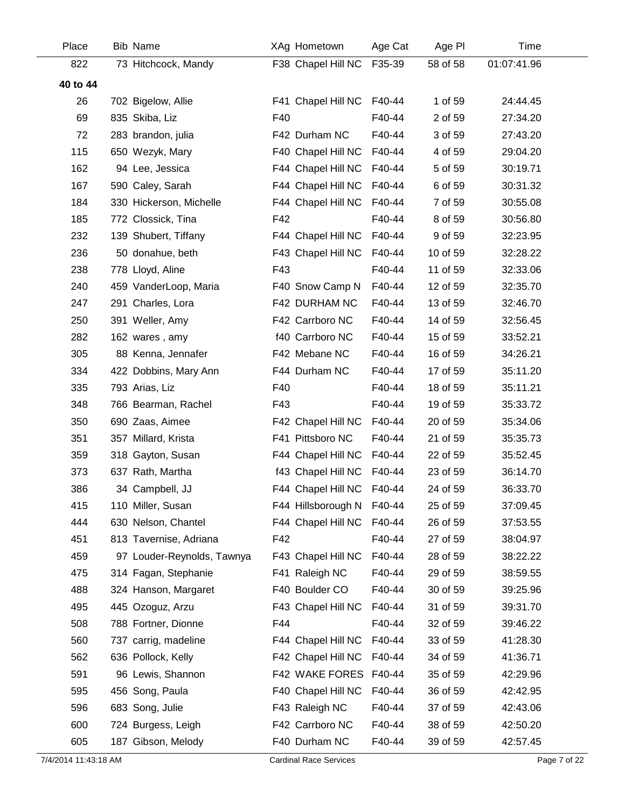| Place    | <b>Bib Name</b>            |     | XAg Hometown          | Age Cat | Age PI   | Time        |  |
|----------|----------------------------|-----|-----------------------|---------|----------|-------------|--|
| 822      | 73 Hitchcock, Mandy        |     | F38 Chapel Hill NC    | F35-39  | 58 of 58 | 01:07:41.96 |  |
| 40 to 44 |                            |     |                       |         |          |             |  |
| 26       | 702 Bigelow, Allie         |     | F41 Chapel Hill NC    | F40-44  | 1 of 59  | 24:44.45    |  |
| 69       | 835 Skiba, Liz             | F40 |                       | F40-44  | 2 of 59  | 27:34.20    |  |
| 72       | 283 brandon, julia         |     | F42 Durham NC         | F40-44  | 3 of 59  | 27:43.20    |  |
| 115      | 650 Wezyk, Mary            |     | F40 Chapel Hill NC    | F40-44  | 4 of 59  | 29:04.20    |  |
| 162      | 94 Lee, Jessica            |     | F44 Chapel Hill NC    | F40-44  | 5 of 59  | 30:19.71    |  |
| 167      | 590 Caley, Sarah           |     | F44 Chapel Hill NC    | F40-44  | 6 of 59  | 30:31.32    |  |
| 184      | 330 Hickerson, Michelle    |     | F44 Chapel Hill NC    | F40-44  | 7 of 59  | 30:55.08    |  |
| 185      | 772 Clossick, Tina         | F42 |                       | F40-44  | 8 of 59  | 30:56.80    |  |
| 232      | 139 Shubert, Tiffany       |     | F44 Chapel Hill NC    | F40-44  | 9 of 59  | 32:23.95    |  |
| 236      | 50 donahue, beth           |     | F43 Chapel Hill NC    | F40-44  | 10 of 59 | 32:28.22    |  |
| 238      | 778 Lloyd, Aline           | F43 |                       | F40-44  | 11 of 59 | 32:33.06    |  |
| 240      | 459 VanderLoop, Maria      |     | F40 Snow Camp N       | F40-44  | 12 of 59 | 32:35.70    |  |
| 247      | 291 Charles, Lora          |     | F42 DURHAM NC         | F40-44  | 13 of 59 | 32:46.70    |  |
| 250      | 391 Weller, Amy            |     | F42 Carrboro NC       | F40-44  | 14 of 59 | 32:56.45    |  |
| 282      | 162 wares, amy             |     | f40 Carrboro NC       | F40-44  | 15 of 59 | 33:52.21    |  |
| 305      | 88 Kenna, Jennafer         |     | F42 Mebane NC         | F40-44  | 16 of 59 | 34:26.21    |  |
| 334      | 422 Dobbins, Mary Ann      |     | F44 Durham NC         | F40-44  | 17 of 59 | 35:11.20    |  |
| 335      | 793 Arias, Liz             | F40 |                       | F40-44  | 18 of 59 | 35:11.21    |  |
| 348      | 766 Bearman, Rachel        | F43 |                       | F40-44  | 19 of 59 | 35:33.72    |  |
| 350      | 690 Zaas, Aimee            |     | F42 Chapel Hill NC    | F40-44  | 20 of 59 | 35:34.06    |  |
| 351      | 357 Millard, Krista        |     | F41 Pittsboro NC      | F40-44  | 21 of 59 | 35:35.73    |  |
| 359      | 318 Gayton, Susan          |     | F44 Chapel Hill NC    | F40-44  | 22 of 59 | 35:52.45    |  |
| 373      | 637 Rath, Martha           |     | f43 Chapel Hill NC    | F40-44  | 23 of 59 | 36:14.70    |  |
| 386      | 34 Campbell, JJ            |     | F44 Chapel Hill NC    | F40-44  | 24 of 59 | 36:33.70    |  |
| 415      | 110 Miller, Susan          |     | F44 Hillsborough N    | F40-44  | 25 of 59 | 37:09.45    |  |
| 444      | 630 Nelson, Chantel        |     | F44 Chapel Hill NC    | F40-44  | 26 of 59 | 37:53.55    |  |
| 451      | 813 Tavernise, Adriana     | F42 |                       | F40-44  | 27 of 59 | 38:04.97    |  |
| 459      | 97 Louder-Reynolds, Tawnya |     | F43 Chapel Hill NC    | F40-44  | 28 of 59 | 38:22.22    |  |
| 475      | 314 Fagan, Stephanie       |     | F41 Raleigh NC        | F40-44  | 29 of 59 | 38:59.55    |  |
| 488      | 324 Hanson, Margaret       |     | F40 Boulder CO        | F40-44  | 30 of 59 | 39:25.96    |  |
| 495      | 445 Ozoguz, Arzu           |     | F43 Chapel Hill NC    | F40-44  | 31 of 59 | 39:31.70    |  |
| 508      | 788 Fortner, Dionne        | F44 |                       | F40-44  | 32 of 59 | 39:46.22    |  |
| 560      | 737 carrig, madeline       |     | F44 Chapel Hill NC    | F40-44  | 33 of 59 | 41:28.30    |  |
| 562      | 636 Pollock, Kelly         |     | F42 Chapel Hill NC    | F40-44  | 34 of 59 | 41:36.71    |  |
| 591      | 96 Lewis, Shannon          |     | F42 WAKE FORES F40-44 |         | 35 of 59 | 42:29.96    |  |
| 595      | 456 Song, Paula            |     | F40 Chapel Hill NC    | F40-44  | 36 of 59 | 42:42.95    |  |
| 596      | 683 Song, Julie            |     | F43 Raleigh NC        | F40-44  | 37 of 59 | 42:43.06    |  |
| 600      | 724 Burgess, Leigh         |     | F42 Carrboro NC       | F40-44  | 38 of 59 | 42:50.20    |  |
| 605      | 187 Gibson, Melody         |     | F40 Durham NC         | F40-44  | 39 of 59 | 42:57.45    |  |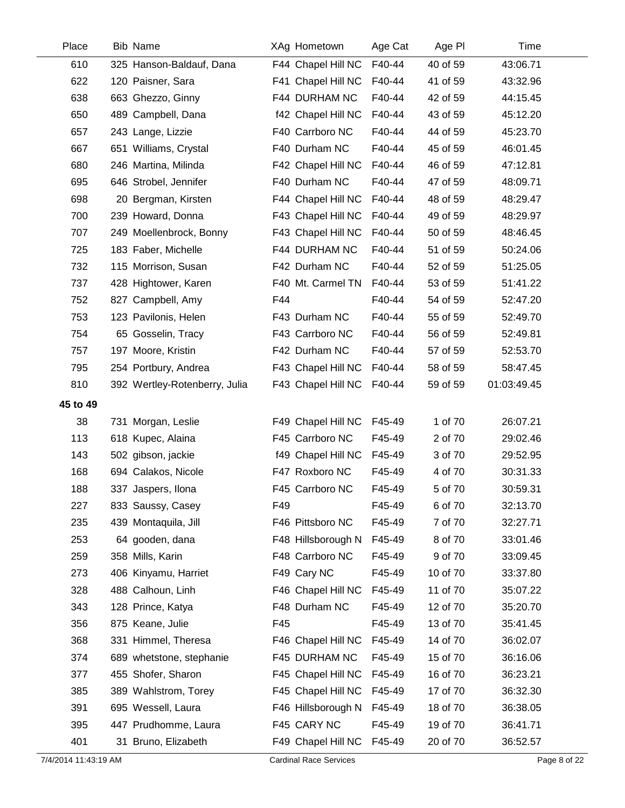| Place    | <b>Bib Name</b>               | XAg Hometown       | Age Cat | Age PI   | Time        |  |
|----------|-------------------------------|--------------------|---------|----------|-------------|--|
| 610      | 325 Hanson-Baldauf, Dana      | F44 Chapel Hill NC | F40-44  | 40 of 59 | 43:06.71    |  |
| 622      | 120 Paisner, Sara             | F41 Chapel Hill NC | F40-44  | 41 of 59 | 43:32.96    |  |
| 638      | 663 Ghezzo, Ginny             | F44 DURHAM NC      | F40-44  | 42 of 59 | 44:15.45    |  |
| 650      | 489 Campbell, Dana            | f42 Chapel Hill NC | F40-44  | 43 of 59 | 45:12.20    |  |
| 657      | 243 Lange, Lizzie             | F40 Carrboro NC    | F40-44  | 44 of 59 | 45:23.70    |  |
| 667      | 651 Williams, Crystal         | F40 Durham NC      | F40-44  | 45 of 59 | 46:01.45    |  |
| 680      | 246 Martina, Milinda          | F42 Chapel Hill NC | F40-44  | 46 of 59 | 47:12.81    |  |
| 695      | 646 Strobel, Jennifer         | F40 Durham NC      | F40-44  | 47 of 59 | 48:09.71    |  |
| 698      | 20 Bergman, Kirsten           | F44 Chapel Hill NC | F40-44  | 48 of 59 | 48:29.47    |  |
| 700      | 239 Howard, Donna             | F43 Chapel Hill NC | F40-44  | 49 of 59 | 48:29.97    |  |
| 707      | 249 Moellenbrock, Bonny       | F43 Chapel Hill NC | F40-44  | 50 of 59 | 48:46.45    |  |
| 725      | 183 Faber, Michelle           | F44 DURHAM NC      | F40-44  | 51 of 59 | 50:24.06    |  |
| 732      | 115 Morrison, Susan           | F42 Durham NC      | F40-44  | 52 of 59 | 51:25.05    |  |
| 737      | 428 Hightower, Karen          | F40 Mt. Carmel TN  | F40-44  | 53 of 59 | 51:41.22    |  |
| 752      | 827 Campbell, Amy             | F44                | F40-44  | 54 of 59 | 52:47.20    |  |
| 753      | 123 Pavilonis, Helen          | F43 Durham NC      | F40-44  | 55 of 59 | 52:49.70    |  |
| 754      | 65 Gosselin, Tracy            | F43 Carrboro NC    | F40-44  | 56 of 59 | 52:49.81    |  |
| 757      | 197 Moore, Kristin            | F42 Durham NC      | F40-44  | 57 of 59 | 52:53.70    |  |
| 795      | 254 Portbury, Andrea          | F43 Chapel Hill NC | F40-44  | 58 of 59 | 58:47.45    |  |
| 810      | 392 Wertley-Rotenberry, Julia | F43 Chapel Hill NC | F40-44  | 59 of 59 | 01:03:49.45 |  |
| 45 to 49 |                               |                    |         |          |             |  |
| 38       | 731 Morgan, Leslie            | F49 Chapel Hill NC | F45-49  | 1 of 70  | 26:07.21    |  |
| 113      | 618 Kupec, Alaina             | F45 Carrboro NC    | F45-49  | 2 of 70  | 29:02.46    |  |
| 143      | 502 gibson, jackie            | f49 Chapel Hill NC | F45-49  | 3 of 70  | 29:52.95    |  |
| 168      | 694 Calakos, Nicole           | F47 Roxboro NC     | F45-49  | 4 of 70  | 30:31.33    |  |
| 188      | 337 Jaspers, Ilona            | F45 Carrboro NC    | F45-49  | 5 of 70  | 30:59.31    |  |
| 227      | 833 Saussy, Casey             | F49                | F45-49  | 6 of 70  | 32:13.70    |  |
| 235      | 439 Montaquila, Jill          | F46 Pittsboro NC   | F45-49  | 7 of 70  | 32:27.71    |  |
| 253      | 64 gooden, dana               | F48 Hillsborough N | F45-49  | 8 of 70  | 33:01.46    |  |
| 259      | 358 Mills, Karin              | F48 Carrboro NC    | F45-49  | 9 of 70  | 33:09.45    |  |
| 273      | 406 Kinyamu, Harriet          | F49 Cary NC        | F45-49  | 10 of 70 | 33:37.80    |  |
| 328      | 488 Calhoun, Linh             | F46 Chapel Hill NC | F45-49  | 11 of 70 | 35:07.22    |  |
| 343      | 128 Prince, Katya             | F48 Durham NC      | F45-49  | 12 of 70 | 35:20.70    |  |
| 356      | 875 Keane, Julie              | F45                | F45-49  | 13 of 70 | 35:41.45    |  |
| 368      | 331 Himmel, Theresa           | F46 Chapel Hill NC | F45-49  | 14 of 70 | 36:02.07    |  |
| 374      | 689 whetstone, stephanie      | F45 DURHAM NC      | F45-49  | 15 of 70 | 36:16.06    |  |
| 377      | 455 Shofer, Sharon            | F45 Chapel Hill NC | F45-49  | 16 of 70 | 36:23.21    |  |
| 385      |                               | F45 Chapel Hill NC | F45-49  | 17 of 70 | 36:32.30    |  |
|          | 389 Wahlstrom, Torey          |                    |         |          |             |  |
| 391      | 695 Wessell, Laura            | F46 Hillsborough N | F45-49  | 18 of 70 | 36:38.05    |  |
| 395      | 447 Prudhomme, Laura          | F45 CARY NC        | F45-49  | 19 of 70 | 36:41.71    |  |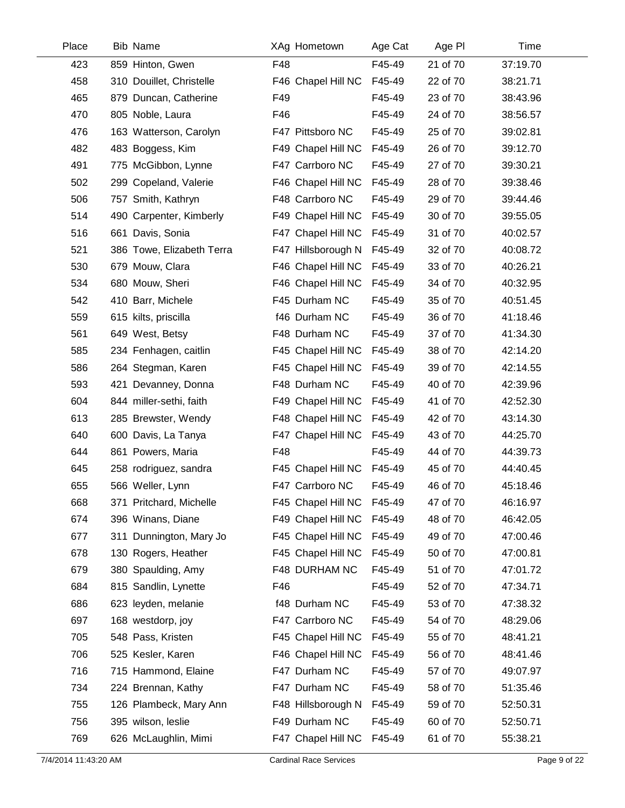| Place | <b>Bib Name</b>           | XAg Hometown       | Age Cat | Age PI   | Time     |  |
|-------|---------------------------|--------------------|---------|----------|----------|--|
| 423   | 859 Hinton, Gwen          | F48                | F45-49  | 21 of 70 | 37:19.70 |  |
| 458   | 310 Douillet, Christelle  | F46 Chapel Hill NC | F45-49  | 22 of 70 | 38:21.71 |  |
| 465   | 879 Duncan, Catherine     | F49                | F45-49  | 23 of 70 | 38:43.96 |  |
| 470   | 805 Noble, Laura          | F46                | F45-49  | 24 of 70 | 38:56.57 |  |
| 476   | 163 Watterson, Carolyn    | F47 Pittsboro NC   | F45-49  | 25 of 70 | 39:02.81 |  |
| 482   | 483 Boggess, Kim          | F49 Chapel Hill NC | F45-49  | 26 of 70 | 39:12.70 |  |
| 491   | 775 McGibbon, Lynne       | F47 Carrboro NC    | F45-49  | 27 of 70 | 39:30.21 |  |
| 502   | 299 Copeland, Valerie     | F46 Chapel Hill NC | F45-49  | 28 of 70 | 39:38.46 |  |
| 506   | 757 Smith, Kathryn        | F48 Carrboro NC    | F45-49  | 29 of 70 | 39:44.46 |  |
| 514   | 490 Carpenter, Kimberly   | F49 Chapel Hill NC | F45-49  | 30 of 70 | 39:55.05 |  |
| 516   | 661 Davis, Sonia          | F47 Chapel Hill NC | F45-49  | 31 of 70 | 40:02.57 |  |
| 521   | 386 Towe, Elizabeth Terra | F47 Hillsborough N | F45-49  | 32 of 70 | 40:08.72 |  |
| 530   | 679 Mouw, Clara           | F46 Chapel Hill NC | F45-49  | 33 of 70 | 40:26.21 |  |
| 534   | 680 Mouw, Sheri           | F46 Chapel Hill NC | F45-49  | 34 of 70 | 40:32.95 |  |
| 542   | 410 Barr, Michele         | F45 Durham NC      | F45-49  | 35 of 70 | 40:51.45 |  |
| 559   | 615 kilts, priscilla      | f46 Durham NC      | F45-49  | 36 of 70 | 41:18.46 |  |
| 561   | 649 West, Betsy           | F48 Durham NC      | F45-49  | 37 of 70 | 41:34.30 |  |
| 585   | 234 Fenhagen, caitlin     | F45 Chapel Hill NC | F45-49  | 38 of 70 | 42:14.20 |  |
| 586   | 264 Stegman, Karen        | F45 Chapel Hill NC | F45-49  | 39 of 70 | 42:14.55 |  |
| 593   | 421 Devanney, Donna       | F48 Durham NC      | F45-49  | 40 of 70 | 42:39.96 |  |
| 604   | 844 miller-sethi, faith   | F49 Chapel Hill NC | F45-49  | 41 of 70 | 42:52.30 |  |
| 613   | 285 Brewster, Wendy       | F48 Chapel Hill NC | F45-49  | 42 of 70 | 43:14.30 |  |
| 640   | 600 Davis, La Tanya       | F47 Chapel Hill NC | F45-49  | 43 of 70 | 44:25.70 |  |
| 644   | 861 Powers, Maria         | F48                | F45-49  | 44 of 70 | 44:39.73 |  |
| 645   | 258 rodriguez, sandra     | F45 Chapel Hill NC | F45-49  | 45 of 70 | 44:40.45 |  |
| 655   | 566 Weller, Lynn          | F47 Carrboro NC    | F45-49  | 46 of 70 | 45:18.46 |  |
| 668   | 371 Pritchard, Michelle   | F45 Chapel Hill NC | F45-49  | 47 of 70 | 46:16.97 |  |
| 674   | 396 Winans, Diane         | F49 Chapel Hill NC | F45-49  | 48 of 70 | 46:42.05 |  |
| 677   | 311 Dunnington, Mary Jo   | F45 Chapel Hill NC | F45-49  | 49 of 70 | 47:00.46 |  |
| 678   | 130 Rogers, Heather       | F45 Chapel Hill NC | F45-49  | 50 of 70 | 47:00.81 |  |
| 679   | 380 Spaulding, Amy        | F48 DURHAM NC      | F45-49  | 51 of 70 | 47:01.72 |  |
| 684   | 815 Sandlin, Lynette      | F46                | F45-49  | 52 of 70 | 47:34.71 |  |
| 686   | 623 leyden, melanie       | f48 Durham NC      | F45-49  | 53 of 70 | 47:38.32 |  |
| 697   | 168 westdorp, joy         | F47 Carrboro NC    | F45-49  | 54 of 70 | 48:29.06 |  |
| 705   | 548 Pass, Kristen         | F45 Chapel Hill NC | F45-49  | 55 of 70 | 48:41.21 |  |
| 706   | 525 Kesler, Karen         | F46 Chapel Hill NC | F45-49  | 56 of 70 | 48:41.46 |  |
| 716   | 715 Hammond, Elaine       | F47 Durham NC      | F45-49  | 57 of 70 | 49:07.97 |  |
| 734   | 224 Brennan, Kathy        | F47 Durham NC      | F45-49  | 58 of 70 | 51:35.46 |  |
| 755   | 126 Plambeck, Mary Ann    | F48 Hillsborough N | F45-49  | 59 of 70 | 52:50.31 |  |
| 756   | 395 wilson, leslie        | F49 Durham NC      | F45-49  | 60 of 70 | 52:50.71 |  |
| 769   | 626 McLaughlin, Mimi      | F47 Chapel Hill NC | F45-49  | 61 of 70 | 55:38.21 |  |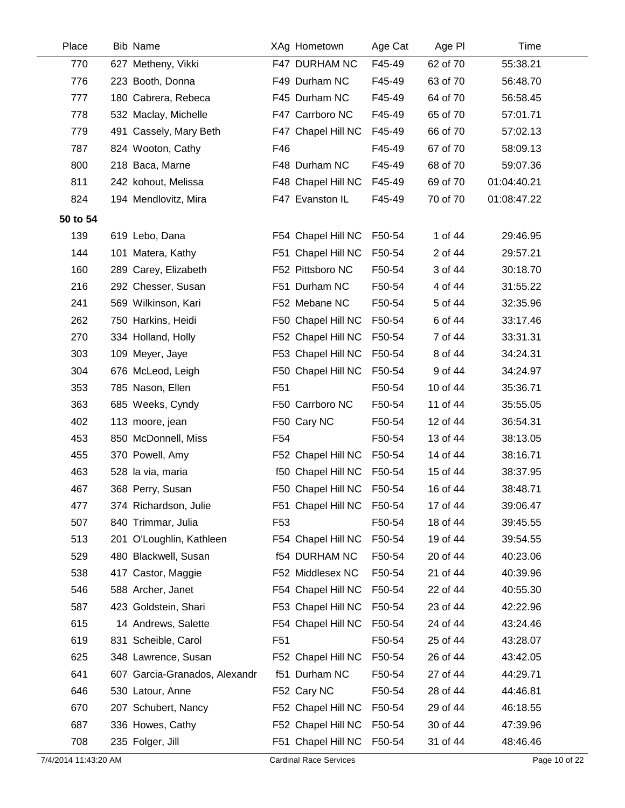| Place                | <b>Bib Name</b>               |                 | XAg Hometown                  | Age Cat | Age PI   | Time        |               |
|----------------------|-------------------------------|-----------------|-------------------------------|---------|----------|-------------|---------------|
| 770                  | 627 Metheny, Vikki            |                 | F47 DURHAM NC                 | F45-49  | 62 of 70 | 55:38.21    |               |
| 776                  | 223 Booth, Donna              |                 | F49 Durham NC                 | F45-49  | 63 of 70 | 56:48.70    |               |
| 777                  | 180 Cabrera, Rebeca           |                 | F45 Durham NC                 | F45-49  | 64 of 70 | 56:58.45    |               |
| 778                  | 532 Maclay, Michelle          |                 | F47 Carrboro NC               | F45-49  | 65 of 70 | 57:01.71    |               |
| 779                  | 491 Cassely, Mary Beth        |                 | F47 Chapel Hill NC            | F45-49  | 66 of 70 | 57:02.13    |               |
| 787                  | 824 Wooton, Cathy             | F46             |                               | F45-49  | 67 of 70 | 58:09.13    |               |
| 800                  | 218 Baca, Marne               |                 | F48 Durham NC                 | F45-49  | 68 of 70 | 59:07.36    |               |
| 811                  | 242 kohout, Melissa           |                 | F48 Chapel Hill NC            | F45-49  | 69 of 70 | 01:04:40.21 |               |
| 824                  | 194 Mendlovitz, Mira          |                 | F47 Evanston IL               | F45-49  | 70 of 70 | 01:08:47.22 |               |
| 50 to 54             |                               |                 |                               |         |          |             |               |
| 139                  | 619 Lebo, Dana                |                 | F54 Chapel Hill NC            | F50-54  | 1 of 44  | 29:46.95    |               |
| 144                  | 101 Matera, Kathy             |                 | F51 Chapel Hill NC            | F50-54  | 2 of 44  | 29:57.21    |               |
| 160                  | 289 Carey, Elizabeth          |                 | F52 Pittsboro NC              | F50-54  | 3 of 44  | 30:18.70    |               |
| 216                  | 292 Chesser, Susan            |                 | F51 Durham NC                 | F50-54  | 4 of 44  | 31:55.22    |               |
| 241                  | 569 Wilkinson, Kari           |                 | F52 Mebane NC                 | F50-54  | 5 of 44  | 32:35.96    |               |
| 262                  | 750 Harkins, Heidi            |                 | F50 Chapel Hill NC            | F50-54  | 6 of 44  | 33:17.46    |               |
| 270                  | 334 Holland, Holly            |                 | F52 Chapel Hill NC            | F50-54  | 7 of 44  | 33:31.31    |               |
| 303                  | 109 Meyer, Jaye               |                 | F53 Chapel Hill NC            | F50-54  | 8 of 44  | 34:24.31    |               |
| 304                  | 676 McLeod, Leigh             |                 | F50 Chapel Hill NC            | F50-54  | 9 of 44  | 34:24.97    |               |
| 353                  | 785 Nason, Ellen              | F <sub>51</sub> |                               | F50-54  | 10 of 44 | 35:36.71    |               |
| 363                  | 685 Weeks, Cyndy              |                 | F50 Carrboro NC               | F50-54  | 11 of 44 | 35:55.05    |               |
| 402                  | 113 moore, jean               |                 | F50 Cary NC                   | F50-54  | 12 of 44 | 36:54.31    |               |
| 453                  | 850 McDonnell, Miss           | F <sub>54</sub> |                               | F50-54  | 13 of 44 | 38:13.05    |               |
| 455                  | 370 Powell, Amy               |                 | F52 Chapel Hill NC            | F50-54  | 14 of 44 | 38:16.71    |               |
| 463                  | 528 la via, maria             |                 | f50 Chapel Hill NC            | F50-54  | 15 of 44 | 38:37.95    |               |
| 467                  | 368 Perry, Susan              |                 | F50 Chapel Hill NC            | F50-54  | 16 of 44 | 38:48.71    |               |
| 477                  | 374 Richardson, Julie         |                 | F51 Chapel Hill NC            | F50-54  | 17 of 44 | 39:06.47    |               |
| 507                  | 840 Trimmar, Julia            | F <sub>53</sub> |                               | F50-54  | 18 of 44 | 39:45.55    |               |
| 513                  | 201 O'Loughlin, Kathleen      |                 | F54 Chapel Hill NC            | F50-54  | 19 of 44 | 39:54.55    |               |
| 529                  | 480 Blackwell, Susan          |                 | <b>f54 DURHAM NC</b>          | F50-54  | 20 of 44 | 40:23.06    |               |
| 538                  | 417 Castor, Maggie            |                 | F52 Middlesex NC              | F50-54  | 21 of 44 | 40:39.96    |               |
| 546                  | 588 Archer, Janet             |                 | F54 Chapel Hill NC            | F50-54  | 22 of 44 | 40:55.30    |               |
| 587                  | 423 Goldstein, Shari          |                 | F53 Chapel Hill NC            | F50-54  | 23 of 44 | 42:22.96    |               |
| 615                  | 14 Andrews, Salette           |                 | F54 Chapel Hill NC            | F50-54  | 24 of 44 | 43:24.46    |               |
| 619                  | 831 Scheible, Carol           | F <sub>51</sub> |                               | F50-54  | 25 of 44 | 43:28.07    |               |
| 625                  | 348 Lawrence, Susan           |                 | F52 Chapel Hill NC            | F50-54  | 26 of 44 | 43:42.05    |               |
| 641                  | 607 Garcia-Granados, Alexandr |                 | f51 Durham NC                 | F50-54  | 27 of 44 | 44:29.71    |               |
| 646                  | 530 Latour, Anne              |                 | F52 Cary NC                   | F50-54  | 28 of 44 | 44:46.81    |               |
| 670                  | 207 Schubert, Nancy           |                 | F52 Chapel Hill NC            | F50-54  | 29 of 44 | 46:18.55    |               |
| 687                  | 336 Howes, Cathy              |                 | F52 Chapel Hill NC            | F50-54  | 30 of 44 | 47:39.96    |               |
| 708                  | 235 Folger, Jill              |                 | F51 Chapel Hill NC            | F50-54  | 31 of 44 | 48:46.46    |               |
| 7/4/2014 11:43:20 AM |                               |                 | <b>Cardinal Race Services</b> |         |          |             | Page 10 of 22 |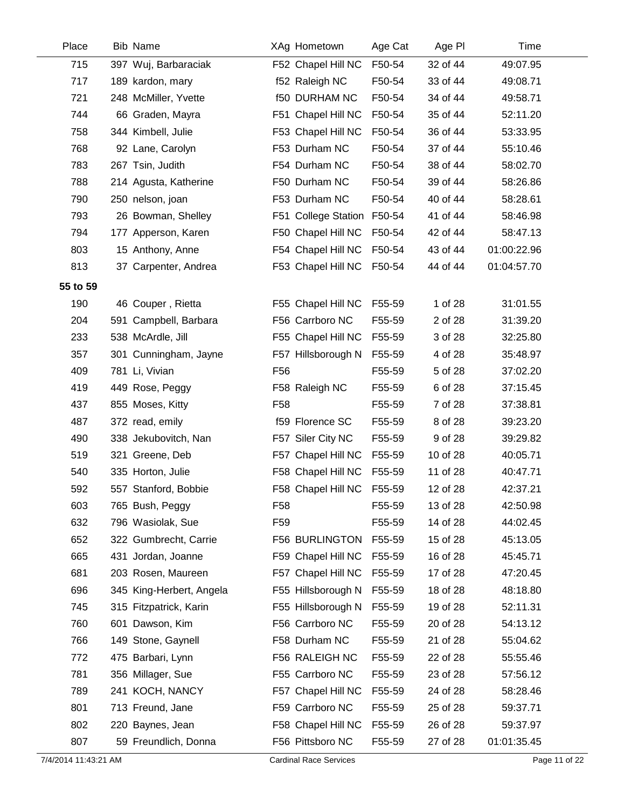| Place    | <b>Bib Name</b>          |                 | XAg Hometown         | Age Cat | Age PI   | Time        |
|----------|--------------------------|-----------------|----------------------|---------|----------|-------------|
| 715      | 397 Wuj, Barbaraciak     |                 | F52 Chapel Hill NC   | F50-54  | 32 of 44 | 49:07.95    |
| 717      | 189 kardon, mary         |                 | f52 Raleigh NC       | F50-54  | 33 of 44 | 49:08.71    |
| 721      | 248 McMiller, Yvette     |                 | <b>f50 DURHAM NC</b> | F50-54  | 34 of 44 | 49:58.71    |
| 744      | 66 Graden, Mayra         |                 | F51 Chapel Hill NC   | F50-54  | 35 of 44 | 52:11.20    |
| 758      | 344 Kimbell, Julie       |                 | F53 Chapel Hill NC   | F50-54  | 36 of 44 | 53:33.95    |
| 768      | 92 Lane, Carolyn         |                 | F53 Durham NC        | F50-54  | 37 of 44 | 55:10.46    |
| 783      | 267 Tsin, Judith         |                 | F54 Durham NC        | F50-54  | 38 of 44 | 58:02.70    |
| 788      | 214 Agusta, Katherine    |                 | F50 Durham NC        | F50-54  | 39 of 44 | 58:26.86    |
| 790      | 250 nelson, joan         |                 | F53 Durham NC        | F50-54  | 40 of 44 | 58:28.61    |
| 793      | 26 Bowman, Shelley       |                 | F51 College Station  | F50-54  | 41 of 44 | 58:46.98    |
| 794      | 177 Apperson, Karen      |                 | F50 Chapel Hill NC   | F50-54  | 42 of 44 | 58:47.13    |
| 803      | 15 Anthony, Anne         |                 | F54 Chapel Hill NC   | F50-54  | 43 of 44 | 01:00:22.96 |
| 813      | 37 Carpenter, Andrea     |                 | F53 Chapel Hill NC   | F50-54  | 44 of 44 | 01:04:57.70 |
| 55 to 59 |                          |                 |                      |         |          |             |
| 190      | 46 Couper, Rietta        |                 | F55 Chapel Hill NC   | F55-59  | 1 of 28  | 31:01.55    |
| 204      | 591 Campbell, Barbara    |                 | F56 Carrboro NC      | F55-59  | 2 of 28  | 31:39.20    |
| 233      | 538 McArdle, Jill        |                 | F55 Chapel Hill NC   | F55-59  | 3 of 28  | 32:25.80    |
| 357      | 301 Cunningham, Jayne    |                 | F57 Hillsborough N   | F55-59  | 4 of 28  | 35:48.97    |
| 409      | 781 Li, Vivian           | F <sub>56</sub> |                      | F55-59  | 5 of 28  | 37:02.20    |
| 419      | 449 Rose, Peggy          |                 | F58 Raleigh NC       | F55-59  | 6 of 28  | 37:15.45    |
| 437      | 855 Moses, Kitty         | F <sub>58</sub> |                      | F55-59  | 7 of 28  | 37:38.81    |
| 487      | 372 read, emily          |                 | f59 Florence SC      | F55-59  | 8 of 28  | 39:23.20    |
| 490      | 338 Jekubovitch, Nan     |                 | F57 Siler City NC    | F55-59  | 9 of 28  | 39:29.82    |
| 519      | 321 Greene, Deb          |                 | F57 Chapel Hill NC   | F55-59  | 10 of 28 | 40:05.71    |
| 540      | 335 Horton, Julie        |                 | F58 Chapel Hill NC   | F55-59  | 11 of 28 | 40:47.71    |
| 592      | 557 Stanford, Bobbie     |                 | F58 Chapel Hill NC   | F55-59  | 12 of 28 | 42:37.21    |
| 603      | 765 Bush, Peggy          | F <sub>58</sub> |                      | F55-59  | 13 of 28 | 42:50.98    |
| 632      | 796 Wasiolak, Sue        | F <sub>59</sub> |                      | F55-59  | 14 of 28 | 44:02.45    |
| 652      | 322 Gumbrecht, Carrie    |                 | F56 BURLINGTON       | F55-59  | 15 of 28 | 45:13.05    |
| 665      | 431 Jordan, Joanne       |                 | F59 Chapel Hill NC   | F55-59  | 16 of 28 | 45:45.71    |
| 681      | 203 Rosen, Maureen       |                 | F57 Chapel Hill NC   | F55-59  | 17 of 28 | 47:20.45    |
| 696      | 345 King-Herbert, Angela |                 | F55 Hillsborough N   | F55-59  | 18 of 28 | 48:18.80    |
| 745      | 315 Fitzpatrick, Karin   |                 | F55 Hillsborough N   | F55-59  | 19 of 28 | 52:11.31    |
| 760      | 601 Dawson, Kim          |                 | F56 Carrboro NC      | F55-59  | 20 of 28 | 54:13.12    |
| 766      | 149 Stone, Gaynell       |                 | F58 Durham NC        | F55-59  | 21 of 28 | 55:04.62    |
| 772      | 475 Barbari, Lynn        |                 | F56 RALEIGH NC       | F55-59  | 22 of 28 | 55:55.46    |
| 781      | 356 Millager, Sue        |                 | F55 Carrboro NC      | F55-59  | 23 of 28 | 57:56.12    |
| 789      | 241 KOCH, NANCY          |                 | F57 Chapel Hill NC   | F55-59  | 24 of 28 | 58:28.46    |
| 801      | 713 Freund, Jane         |                 | F59 Carrboro NC      | F55-59  | 25 of 28 | 59:37.71    |
| 802      | 220 Baynes, Jean         |                 | F58 Chapel Hill NC   | F55-59  | 26 of 28 | 59:37.97    |
| 807      | 59 Freundlich, Donna     |                 | F56 Pittsboro NC     | F55-59  | 27 of 28 | 01:01:35.45 |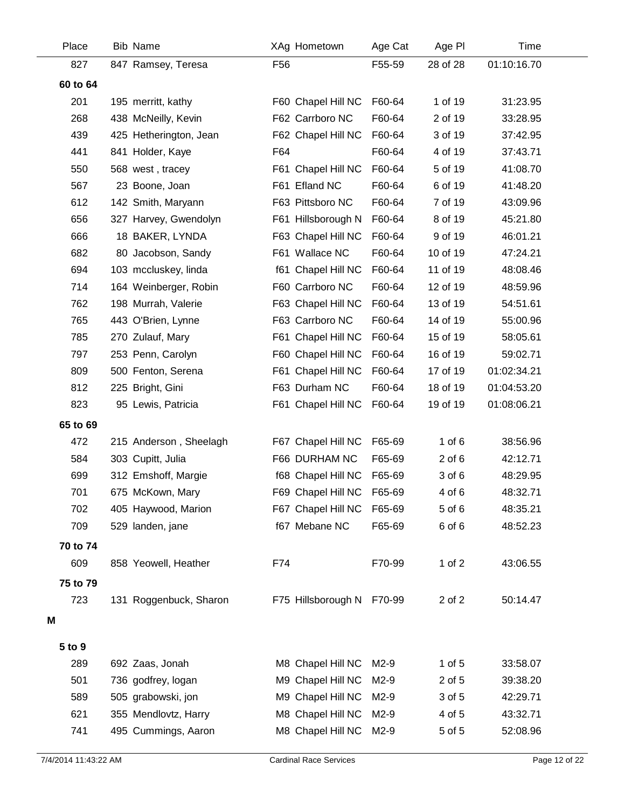| Place    | <b>Bib Name</b>        |                 | XAg Hometown       | Age Cat | Age PI     | Time        |
|----------|------------------------|-----------------|--------------------|---------|------------|-------------|
| 827      | 847 Ramsey, Teresa     | F <sub>56</sub> |                    | F55-59  | 28 of 28   | 01:10:16.70 |
| 60 to 64 |                        |                 |                    |         |            |             |
| 201      | 195 merritt, kathy     |                 | F60 Chapel Hill NC | F60-64  | 1 of 19    | 31:23.95    |
| 268      | 438 McNeilly, Kevin    |                 | F62 Carrboro NC    | F60-64  | 2 of 19    | 33:28.95    |
| 439      | 425 Hetherington, Jean |                 | F62 Chapel Hill NC | F60-64  | 3 of 19    | 37:42.95    |
| 441      | 841 Holder, Kaye       | F64             |                    | F60-64  | 4 of 19    | 37:43.71    |
| 550      | 568 west, tracey       |                 | F61 Chapel Hill NC | F60-64  | 5 of 19    | 41:08.70    |
| 567      | 23 Boone, Joan         |                 | F61 Efland NC      | F60-64  | 6 of 19    | 41:48.20    |
| 612      | 142 Smith, Maryann     |                 | F63 Pittsboro NC   | F60-64  | 7 of 19    | 43:09.96    |
| 656      | 327 Harvey, Gwendolyn  |                 | F61 Hillsborough N | F60-64  | 8 of 19    | 45:21.80    |
| 666      | 18 BAKER, LYNDA        |                 | F63 Chapel Hill NC | F60-64  | 9 of 19    | 46:01.21    |
| 682      | 80 Jacobson, Sandy     |                 | F61 Wallace NC     | F60-64  | 10 of 19   | 47:24.21    |
| 694      | 103 mccluskey, linda   |                 | f61 Chapel Hill NC | F60-64  | 11 of 19   | 48:08.46    |
| 714      | 164 Weinberger, Robin  |                 | F60 Carrboro NC    | F60-64  | 12 of 19   | 48:59.96    |
| 762      | 198 Murrah, Valerie    |                 | F63 Chapel Hill NC | F60-64  | 13 of 19   | 54:51.61    |
| 765      | 443 O'Brien, Lynne     |                 | F63 Carrboro NC    | F60-64  | 14 of 19   | 55:00.96    |
| 785      | 270 Zulauf, Mary       |                 | F61 Chapel Hill NC | F60-64  | 15 of 19   | 58:05.61    |
| 797      | 253 Penn, Carolyn      |                 | F60 Chapel Hill NC | F60-64  | 16 of 19   | 59:02.71    |
| 809      | 500 Fenton, Serena     |                 | F61 Chapel Hill NC | F60-64  | 17 of 19   | 01:02:34.21 |
| 812      | 225 Bright, Gini       |                 | F63 Durham NC      | F60-64  | 18 of 19   | 01:04:53.20 |
| 823      | 95 Lewis, Patricia     |                 | F61 Chapel Hill NC | F60-64  | 19 of 19   | 01:08:06.21 |
| 65 to 69 |                        |                 |                    |         |            |             |
| 472      | 215 Anderson, Sheelagh |                 | F67 Chapel Hill NC | F65-69  | 1 of $6$   | 38:56.96    |
| 584      | 303 Cupitt, Julia      |                 | F66 DURHAM NC      | F65-69  | $2$ of $6$ | 42:12.71    |
| 699      | 312 Emshoff, Margie    |                 | f68 Chapel Hill NC | F65-69  | 3 of 6     | 48:29.95    |
| 701      | 675 McKown, Mary       |                 | F69 Chapel Hill NC | F65-69  | 4 of 6     | 48:32.71    |
| 702      | 405 Haywood, Marion    |                 | F67 Chapel Hill NC | F65-69  | 5 of 6     | 48:35.21    |
| 709      | 529 landen, jane       |                 | f67 Mebane NC      | F65-69  | 6 of 6     | 48:52.23    |
| 70 to 74 |                        |                 |                    |         |            |             |
| 609      | 858 Yeowell, Heather   | F74             |                    | F70-99  | $1$ of $2$ | 43:06.55    |
| 75 to 79 |                        |                 |                    |         |            |             |
| 723      | 131 Roggenbuck, Sharon |                 | F75 Hillsborough N | F70-99  | 2 of 2     | 50:14.47    |
| M        |                        |                 |                    |         |            |             |
| 5 to 9   |                        |                 |                    |         |            |             |
| 289      | 692 Zaas, Jonah        |                 | M8 Chapel Hill NC  | M2-9    | 1 of $5$   | 33:58.07    |
| 501      | 736 godfrey, logan     |                 | M9 Chapel Hill NC  | M2-9    | 2 of 5     | 39:38.20    |
| 589      | 505 grabowski, jon     |                 | M9 Chapel Hill NC  | M2-9    | 3 of 5     | 42:29.71    |
| 621      | 355 Mendlovtz, Harry   |                 | M8 Chapel Hill NC  | M2-9    | 4 of 5     | 43:32.71    |
| 741      | 495 Cummings, Aaron    |                 | M8 Chapel Hill NC  | $M2-9$  | 5 of 5     | 52:08.96    |
|          |                        |                 |                    |         |            |             |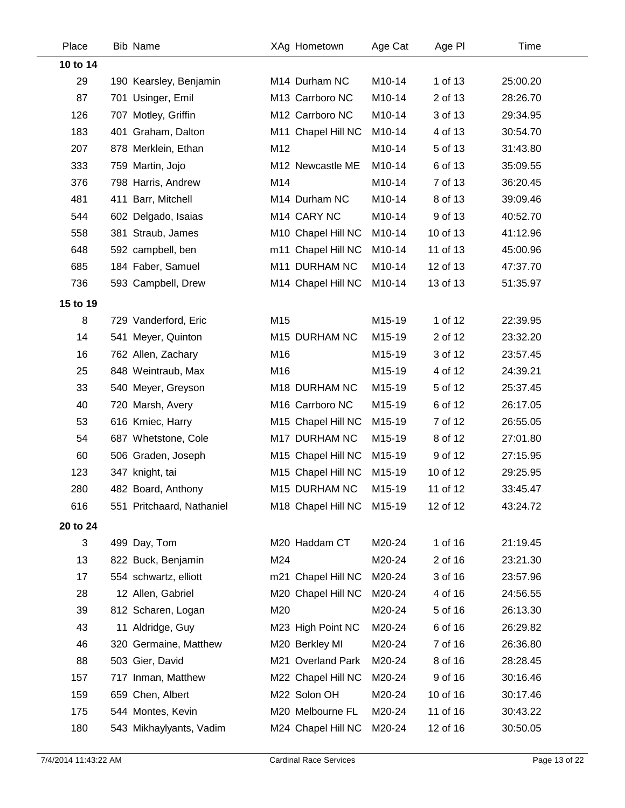| Place    | <b>Bib Name</b>           |     | XAg Hometown       | Age Cat | Age PI   | Time     |
|----------|---------------------------|-----|--------------------|---------|----------|----------|
| 10 to 14 |                           |     |                    |         |          |          |
| 29       | 190 Kearsley, Benjamin    |     | M14 Durham NC      | M10-14  | 1 of 13  | 25:00.20 |
| 87       | 701 Usinger, Emil         |     | M13 Carrboro NC    | M10-14  | 2 of 13  | 28:26.70 |
| 126      | 707 Motley, Griffin       |     | M12 Carrboro NC    | M10-14  | 3 of 13  | 29:34.95 |
| 183      | 401 Graham, Dalton        |     | M11 Chapel Hill NC | M10-14  | 4 of 13  | 30:54.70 |
| 207      | 878 Merklein, Ethan       | M12 |                    | M10-14  | 5 of 13  | 31:43.80 |
| 333      | 759 Martin, Jojo          |     | M12 Newcastle ME   | M10-14  | 6 of 13  | 35:09.55 |
| 376      | 798 Harris, Andrew        | M14 |                    | M10-14  | 7 of 13  | 36:20.45 |
| 481      | 411 Barr, Mitchell        |     | M14 Durham NC      | M10-14  | 8 of 13  | 39:09.46 |
| 544      | 602 Delgado, Isaias       |     | M14 CARY NC        | M10-14  | 9 of 13  | 40:52.70 |
| 558      | 381 Straub, James         |     | M10 Chapel Hill NC | M10-14  | 10 of 13 | 41:12.96 |
| 648      | 592 campbell, ben         |     | m11 Chapel Hill NC | M10-14  | 11 of 13 | 45:00.96 |
| 685      | 184 Faber, Samuel         |     | M11 DURHAM NC      | M10-14  | 12 of 13 | 47:37.70 |
| 736      | 593 Campbell, Drew        |     | M14 Chapel Hill NC | M10-14  | 13 of 13 | 51:35.97 |
| 15 to 19 |                           |     |                    |         |          |          |
| 8        | 729 Vanderford, Eric      | M15 |                    | M15-19  | 1 of 12  | 22:39.95 |
| 14       | 541 Meyer, Quinton        |     | M15 DURHAM NC      | M15-19  | 2 of 12  | 23:32.20 |
| 16       | 762 Allen, Zachary        | M16 |                    | M15-19  | 3 of 12  | 23:57.45 |
| 25       | 848 Weintraub, Max        | M16 |                    | M15-19  | 4 of 12  | 24:39.21 |
| 33       | 540 Meyer, Greyson        |     | M18 DURHAM NC      | M15-19  | 5 of 12  | 25:37.45 |
| 40       | 720 Marsh, Avery          |     | M16 Carrboro NC    | M15-19  | 6 of 12  | 26:17.05 |
| 53       | 616 Kmiec, Harry          |     | M15 Chapel Hill NC | M15-19  | 7 of 12  | 26:55.05 |
| 54       | 687 Whetstone, Cole       |     | M17 DURHAM NC      | M15-19  | 8 of 12  | 27:01.80 |
| 60       | 506 Graden, Joseph        |     | M15 Chapel Hill NC | M15-19  | 9 of 12  | 27:15.95 |
| 123      | 347 knight, tai           |     | M15 Chapel Hill NC | M15-19  | 10 of 12 | 29:25.95 |
| 280      | 482 Board, Anthony        |     | M15 DURHAM NC      | M15-19  | 11 of 12 | 33:45.47 |
| 616      | 551 Pritchaard, Nathaniel |     | M18 Chapel Hill NC | M15-19  | 12 of 12 | 43:24.72 |
| 20 to 24 |                           |     |                    |         |          |          |
| 3        | 499 Day, Tom              |     | M20 Haddam CT      | M20-24  | 1 of 16  | 21:19.45 |
| 13       | 822 Buck, Benjamin        | M24 |                    | M20-24  | 2 of 16  | 23:21.30 |
| 17       | 554 schwartz, elliott     |     | m21 Chapel Hill NC | M20-24  | 3 of 16  | 23:57.96 |
| 28       | 12 Allen, Gabriel         |     | M20 Chapel Hill NC | M20-24  | 4 of 16  | 24:56.55 |
| 39       | 812 Scharen, Logan        | M20 |                    | M20-24  | 5 of 16  | 26:13.30 |
| 43       | 11 Aldridge, Guy          |     | M23 High Point NC  | M20-24  | 6 of 16  | 26:29.82 |
| 46       | 320 Germaine, Matthew     |     | M20 Berkley MI     | M20-24  | 7 of 16  | 26:36.80 |
| 88       | 503 Gier, David           |     | M21 Overland Park  | M20-24  | 8 of 16  | 28:28.45 |
| 157      | 717 Inman, Matthew        |     | M22 Chapel Hill NC | M20-24  | 9 of 16  | 30:16.46 |
| 159      | 659 Chen, Albert          |     | M22 Solon OH       | M20-24  | 10 of 16 | 30:17.46 |
| 175      | 544 Montes, Kevin         |     | M20 Melbourne FL   | M20-24  | 11 of 16 | 30:43.22 |
| 180      | 543 Mikhaylyants, Vadim   |     | M24 Chapel Hill NC | M20-24  | 12 of 16 | 30:50.05 |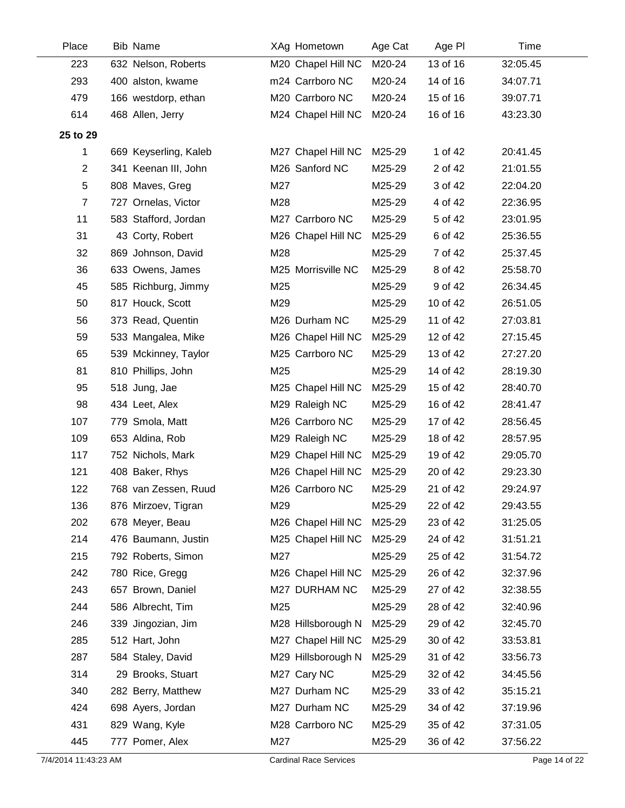| Place          | Bib Name              |     | XAg Hometown       | Age Cat | Age PI   | Time     |
|----------------|-----------------------|-----|--------------------|---------|----------|----------|
| 223            | 632 Nelson, Roberts   |     | M20 Chapel Hill NC | M20-24  | 13 of 16 | 32:05.45 |
| 293            | 400 alston, kwame     |     | m24 Carrboro NC    | M20-24  | 14 of 16 | 34:07.71 |
| 479            | 166 westdorp, ethan   |     | M20 Carrboro NC    | M20-24  | 15 of 16 | 39:07.71 |
| 614            | 468 Allen, Jerry      |     | M24 Chapel Hill NC | M20-24  | 16 of 16 | 43:23.30 |
| 25 to 29       |                       |     |                    |         |          |          |
| 1              | 669 Keyserling, Kaleb |     | M27 Chapel Hill NC | M25-29  | 1 of 42  | 20:41.45 |
| $\overline{2}$ | 341 Keenan III, John  |     | M26 Sanford NC     | M25-29  | 2 of 42  | 21:01.55 |
| 5              | 808 Maves, Greg       | M27 |                    | M25-29  | 3 of 42  | 22:04.20 |
| $\overline{7}$ | 727 Ornelas, Victor   | M28 |                    | M25-29  | 4 of 42  | 22:36.95 |
| 11             | 583 Stafford, Jordan  |     | M27 Carrboro NC    | M25-29  | 5 of 42  | 23:01.95 |
| 31             | 43 Corty, Robert      |     | M26 Chapel Hill NC | M25-29  | 6 of 42  | 25:36.55 |
| 32             | 869 Johnson, David    | M28 |                    | M25-29  | 7 of 42  | 25:37.45 |
| 36             | 633 Owens, James      |     | M25 Morrisville NC | M25-29  | 8 of 42  | 25:58.70 |
| 45             | 585 Richburg, Jimmy   | M25 |                    | M25-29  | 9 of 42  | 26:34.45 |
| 50             | 817 Houck, Scott      | M29 |                    | M25-29  | 10 of 42 | 26:51.05 |
| 56             | 373 Read, Quentin     |     | M26 Durham NC      | M25-29  | 11 of 42 | 27:03.81 |
| 59             | 533 Mangalea, Mike    |     | M26 Chapel Hill NC | M25-29  | 12 of 42 | 27:15.45 |
| 65             | 539 Mckinney, Taylor  |     | M25 Carrboro NC    | M25-29  | 13 of 42 | 27:27.20 |
| 81             | 810 Phillips, John    | M25 |                    | M25-29  | 14 of 42 | 28:19.30 |
| 95             | 518 Jung, Jae         |     | M25 Chapel Hill NC | M25-29  | 15 of 42 | 28:40.70 |
| 98             | 434 Leet, Alex        |     | M29 Raleigh NC     | M25-29  | 16 of 42 | 28:41.47 |
| 107            | 779 Smola, Matt       |     | M26 Carrboro NC    | M25-29  | 17 of 42 | 28:56.45 |
| 109            | 653 Aldina, Rob       |     | M29 Raleigh NC     | M25-29  | 18 of 42 | 28:57.95 |
| 117            | 752 Nichols, Mark     |     | M29 Chapel Hill NC | M25-29  | 19 of 42 | 29:05.70 |
| 121            | 408 Baker, Rhys       |     | M26 Chapel Hill NC | M25-29  | 20 of 42 | 29:23.30 |
| 122            | 768 van Zessen, Ruud  |     | M26 Carrboro NC    | M25-29  | 21 of 42 | 29:24.97 |
| 136            | 876 Mirzoev, Tigran   | M29 |                    | M25-29  | 22 of 42 | 29:43.55 |
| 202            | 678 Meyer, Beau       |     | M26 Chapel Hill NC | M25-29  | 23 of 42 | 31:25.05 |
| 214            | 476 Baumann, Justin   |     | M25 Chapel Hill NC | M25-29  | 24 of 42 | 31:51.21 |
| 215            | 792 Roberts, Simon    | M27 |                    | M25-29  | 25 of 42 | 31:54.72 |
| 242            | 780 Rice, Gregg       |     | M26 Chapel Hill NC | M25-29  | 26 of 42 | 32:37.96 |
| 243            | 657 Brown, Daniel     |     | M27 DURHAM NC      | M25-29  | 27 of 42 | 32:38.55 |
| 244            | 586 Albrecht, Tim     | M25 |                    | M25-29  | 28 of 42 | 32:40.96 |
| 246            | 339 Jingozian, Jim    |     | M28 Hillsborough N | M25-29  | 29 of 42 | 32:45.70 |
| 285            | 512 Hart, John        |     | M27 Chapel Hill NC | M25-29  | 30 of 42 | 33:53.81 |
| 287            | 584 Staley, David     |     | M29 Hillsborough N | M25-29  | 31 of 42 | 33:56.73 |
| 314            | 29 Brooks, Stuart     |     | M27 Cary NC        | M25-29  | 32 of 42 | 34:45.56 |
| 340            | 282 Berry, Matthew    |     | M27 Durham NC      | M25-29  | 33 of 42 | 35:15.21 |
| 424            | 698 Ayers, Jordan     |     | M27 Durham NC      | M25-29  | 34 of 42 | 37:19.96 |
| 431            | 829 Wang, Kyle        |     | M28 Carrboro NC    | M25-29  | 35 of 42 | 37:31.05 |
| 445            | 777 Pomer, Alex       | M27 |                    | M25-29  | 36 of 42 | 37:56.22 |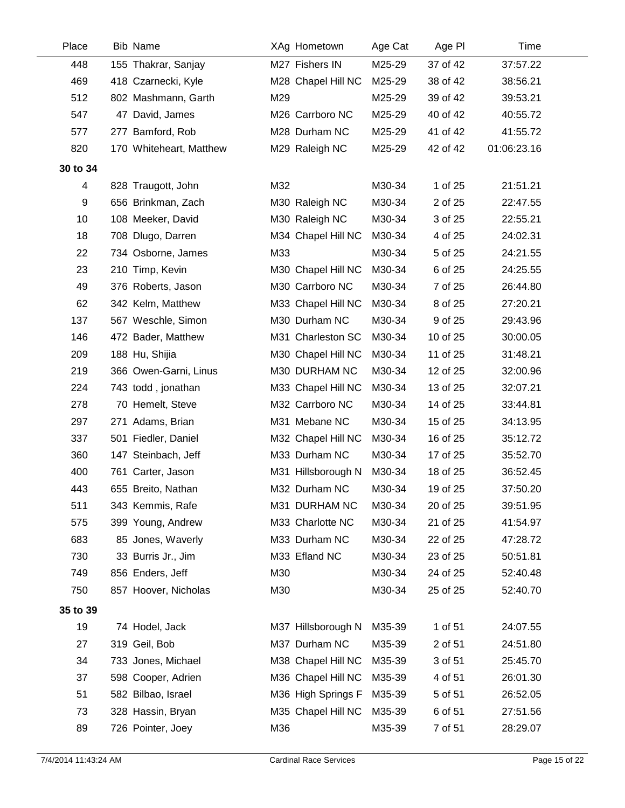| Place    | <b>Bib Name</b>         |     | XAg Hometown       | Age Cat | Age PI   | Time        |
|----------|-------------------------|-----|--------------------|---------|----------|-------------|
| 448      | 155 Thakrar, Sanjay     |     | M27 Fishers IN     | M25-29  | 37 of 42 | 37:57.22    |
| 469      | 418 Czarnecki, Kyle     |     | M28 Chapel Hill NC | M25-29  | 38 of 42 | 38:56.21    |
| 512      | 802 Mashmann, Garth     | M29 |                    | M25-29  | 39 of 42 | 39:53.21    |
| 547      | 47 David, James         |     | M26 Carrboro NC    | M25-29  | 40 of 42 | 40:55.72    |
| 577      | 277 Bamford, Rob        |     | M28 Durham NC      | M25-29  | 41 of 42 | 41:55.72    |
| 820      | 170 Whiteheart, Matthew |     | M29 Raleigh NC     | M25-29  | 42 of 42 | 01:06:23.16 |
| 30 to 34 |                         |     |                    |         |          |             |
| 4        | 828 Traugott, John      | M32 |                    | M30-34  | 1 of 25  | 21:51.21    |
| 9        | 656 Brinkman, Zach      |     | M30 Raleigh NC     | M30-34  | 2 of 25  | 22:47.55    |
| 10       | 108 Meeker, David       |     | M30 Raleigh NC     | M30-34  | 3 of 25  | 22:55.21    |
| 18       | 708 Dlugo, Darren       |     | M34 Chapel Hill NC | M30-34  | 4 of 25  | 24:02.31    |
| 22       | 734 Osborne, James      | M33 |                    | M30-34  | 5 of 25  | 24:21.55    |
| 23       | 210 Timp, Kevin         |     | M30 Chapel Hill NC | M30-34  | 6 of 25  | 24:25.55    |
| 49       | 376 Roberts, Jason      |     | M30 Carrboro NC    | M30-34  | 7 of 25  | 26:44.80    |
| 62       | 342 Kelm, Matthew       |     | M33 Chapel Hill NC | M30-34  | 8 of 25  | 27:20.21    |
| 137      | 567 Weschle, Simon      |     | M30 Durham NC      | M30-34  | 9 of 25  | 29:43.96    |
| 146      | 472 Bader, Matthew      |     | M31 Charleston SC  | M30-34  | 10 of 25 | 30:00.05    |
| 209      | 188 Hu, Shijia          |     | M30 Chapel Hill NC | M30-34  | 11 of 25 | 31:48.21    |
| 219      | 366 Owen-Garni, Linus   |     | M30 DURHAM NC      | M30-34  | 12 of 25 | 32:00.96    |
| 224      | 743 todd, jonathan      |     | M33 Chapel Hill NC | M30-34  | 13 of 25 | 32:07.21    |
| 278      | 70 Hemelt, Steve        |     | M32 Carrboro NC    | M30-34  | 14 of 25 | 33:44.81    |
| 297      | 271 Adams, Brian        |     | M31 Mebane NC      | M30-34  | 15 of 25 | 34:13.95    |
| 337      | 501 Fiedler, Daniel     |     | M32 Chapel Hill NC | M30-34  | 16 of 25 | 35:12.72    |
| 360      | 147 Steinbach, Jeff     |     | M33 Durham NC      | M30-34  | 17 of 25 | 35:52.70    |
| 400      | 761 Carter, Jason       |     | M31 Hillsborough N | M30-34  | 18 of 25 | 36:52.45    |
| 443      | 655 Breito, Nathan      |     | M32 Durham NC      | M30-34  | 19 of 25 | 37:50.20    |
| 511      | 343 Kemmis, Rafe        |     | M31 DURHAM NC      | M30-34  | 20 of 25 | 39:51.95    |
| 575      | 399 Young, Andrew       |     | M33 Charlotte NC   | M30-34  | 21 of 25 | 41:54.97    |
| 683      | 85 Jones, Waverly       |     | M33 Durham NC      | M30-34  | 22 of 25 | 47:28.72    |
| 730      | 33 Burris Jr., Jim      |     | M33 Efland NC      | M30-34  | 23 of 25 | 50:51.81    |
| 749      | 856 Enders, Jeff        | M30 |                    | M30-34  | 24 of 25 | 52:40.48    |
| 750      | 857 Hoover, Nicholas    | M30 |                    | M30-34  | 25 of 25 | 52:40.70    |
| 35 to 39 |                         |     |                    |         |          |             |
| 19       | 74 Hodel, Jack          |     | M37 Hillsborough N | M35-39  | 1 of 51  | 24:07.55    |
| 27       | 319 Geil, Bob           |     | M37 Durham NC      | M35-39  | 2 of 51  | 24:51.80    |
| 34       | 733 Jones, Michael      |     | M38 Chapel Hill NC | M35-39  | 3 of 51  | 25:45.70    |
| 37       | 598 Cooper, Adrien      |     | M36 Chapel Hill NC | M35-39  | 4 of 51  | 26:01.30    |
| 51       | 582 Bilbao, Israel      |     | M36 High Springs F | M35-39  | 5 of 51  | 26:52.05    |
| 73       | 328 Hassin, Bryan       |     | M35 Chapel Hill NC | M35-39  | 6 of 51  | 27:51.56    |
| 89       | 726 Pointer, Joey       | M36 |                    | M35-39  | 7 of 51  | 28:29.07    |
|          |                         |     |                    |         |          |             |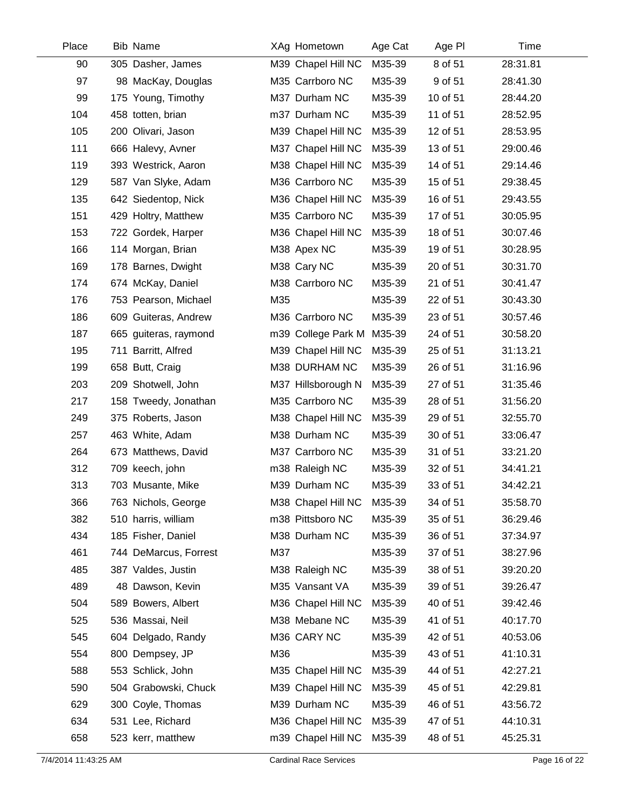| Place | <b>Bib Name</b>       |     | XAg Hometown       | Age Cat | Age PI   | Time     |
|-------|-----------------------|-----|--------------------|---------|----------|----------|
| 90    | 305 Dasher, James     |     | M39 Chapel Hill NC | M35-39  | 8 of 51  | 28:31.81 |
| 97    | 98 MacKay, Douglas    |     | M35 Carrboro NC    | M35-39  | 9 of 51  | 28:41.30 |
| 99    | 175 Young, Timothy    |     | M37 Durham NC      | M35-39  | 10 of 51 | 28:44.20 |
| 104   | 458 totten, brian     |     | m37 Durham NC      | M35-39  | 11 of 51 | 28:52.95 |
| 105   | 200 Olivari, Jason    |     | M39 Chapel Hill NC | M35-39  | 12 of 51 | 28:53.95 |
| 111   | 666 Halevy, Avner     |     | M37 Chapel Hill NC | M35-39  | 13 of 51 | 29:00.46 |
| 119   | 393 Westrick, Aaron   |     | M38 Chapel Hill NC | M35-39  | 14 of 51 | 29:14.46 |
| 129   | 587 Van Slyke, Adam   |     | M36 Carrboro NC    | M35-39  | 15 of 51 | 29:38.45 |
| 135   | 642 Siedentop, Nick   |     | M36 Chapel Hill NC | M35-39  | 16 of 51 | 29:43.55 |
| 151   | 429 Holtry, Matthew   |     | M35 Carrboro NC    | M35-39  | 17 of 51 | 30:05.95 |
| 153   | 722 Gordek, Harper    |     | M36 Chapel Hill NC | M35-39  | 18 of 51 | 30:07.46 |
| 166   | 114 Morgan, Brian     |     | M38 Apex NC        | M35-39  | 19 of 51 | 30:28.95 |
| 169   | 178 Barnes, Dwight    |     | M38 Cary NC        | M35-39  | 20 of 51 | 30:31.70 |
| 174   | 674 McKay, Daniel     |     | M38 Carrboro NC    | M35-39  | 21 of 51 | 30:41.47 |
| 176   | 753 Pearson, Michael  | M35 |                    | M35-39  | 22 of 51 | 30:43.30 |
| 186   | 609 Guiteras, Andrew  |     | M36 Carrboro NC    | M35-39  | 23 of 51 | 30:57.46 |
| 187   | 665 guiteras, raymond |     | m39 College Park M | M35-39  | 24 of 51 | 30:58.20 |
| 195   | 711 Barritt, Alfred   |     | M39 Chapel Hill NC | M35-39  | 25 of 51 | 31:13.21 |
| 199   | 658 Butt, Craig       |     | M38 DURHAM NC      | M35-39  | 26 of 51 | 31:16.96 |
| 203   | 209 Shotwell, John    |     | M37 Hillsborough N | M35-39  | 27 of 51 | 31:35.46 |
| 217   | 158 Tweedy, Jonathan  |     | M35 Carrboro NC    | M35-39  | 28 of 51 | 31:56.20 |
| 249   | 375 Roberts, Jason    |     | M38 Chapel Hill NC | M35-39  | 29 of 51 | 32:55.70 |
| 257   | 463 White, Adam       |     | M38 Durham NC      | M35-39  | 30 of 51 | 33:06.47 |
| 264   | 673 Matthews, David   |     | M37 Carrboro NC    | M35-39  | 31 of 51 | 33:21.20 |
| 312   | 709 keech, john       |     | m38 Raleigh NC     | M35-39  | 32 of 51 | 34:41.21 |
| 313   | 703 Musante, Mike     |     | M39 Durham NC      | M35-39  | 33 of 51 | 34:42.21 |
| 366   | 763 Nichols, George   |     | M38 Chapel Hill NC | M35-39  | 34 of 51 | 35:58.70 |
| 382   | 510 harris, william   |     | m38 Pittsboro NC   | M35-39  | 35 of 51 | 36:29.46 |
| 434   | 185 Fisher, Daniel    |     | M38 Durham NC      | M35-39  | 36 of 51 | 37:34.97 |
| 461   | 744 DeMarcus, Forrest | M37 |                    | M35-39  | 37 of 51 | 38:27.96 |
| 485   | 387 Valdes, Justin    |     | M38 Raleigh NC     | M35-39  | 38 of 51 | 39:20.20 |
| 489   | 48 Dawson, Kevin      |     | M35 Vansant VA     | M35-39  | 39 of 51 | 39:26.47 |
| 504   | 589 Bowers, Albert    |     | M36 Chapel Hill NC | M35-39  | 40 of 51 | 39:42.46 |
| 525   | 536 Massai, Neil      |     | M38 Mebane NC      | M35-39  | 41 of 51 | 40:17.70 |
| 545   | 604 Delgado, Randy    |     | M36 CARY NC        | M35-39  | 42 of 51 | 40:53.06 |
| 554   | 800 Dempsey, JP       | M36 |                    | M35-39  | 43 of 51 | 41:10.31 |
| 588   | 553 Schlick, John     |     | M35 Chapel Hill NC | M35-39  | 44 of 51 | 42:27.21 |
| 590   | 504 Grabowski, Chuck  |     | M39 Chapel Hill NC | M35-39  | 45 of 51 | 42:29.81 |
| 629   | 300 Coyle, Thomas     |     | M39 Durham NC      | M35-39  | 46 of 51 | 43:56.72 |
| 634   | 531 Lee, Richard      |     | M36 Chapel Hill NC | M35-39  | 47 of 51 | 44:10.31 |
| 658   | 523 kerr, matthew     |     | m39 Chapel Hill NC | M35-39  | 48 of 51 | 45:25.31 |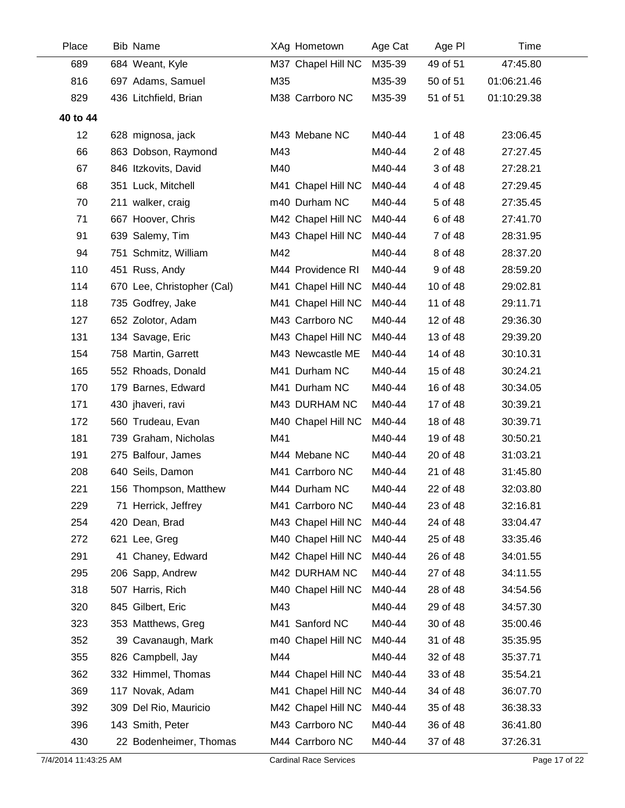| Place    | Bib Name                   | XAg Hometown       | Age Cat | Age PI   | Time        |
|----------|----------------------------|--------------------|---------|----------|-------------|
| 689      | 684 Weant, Kyle            | M37 Chapel Hill NC | M35-39  | 49 of 51 | 47:45.80    |
| 816      | 697 Adams, Samuel          | M35                | M35-39  | 50 of 51 | 01:06:21.46 |
| 829      | 436 Litchfield, Brian      | M38 Carrboro NC    | M35-39  | 51 of 51 | 01:10:29.38 |
| 40 to 44 |                            |                    |         |          |             |
| 12       | 628 mignosa, jack          | M43 Mebane NC      | M40-44  | 1 of 48  | 23:06.45    |
| 66       | 863 Dobson, Raymond        | M43                | M40-44  | 2 of 48  | 27:27.45    |
| 67       | 846 Itzkovits, David       | M40                | M40-44  | 3 of 48  | 27:28.21    |
| 68       | 351 Luck, Mitchell         | M41 Chapel Hill NC | M40-44  | 4 of 48  | 27:29.45    |
| 70       | 211 walker, craig          | m40 Durham NC      | M40-44  | 5 of 48  | 27:35.45    |
| 71       | 667 Hoover, Chris          | M42 Chapel Hill NC | M40-44  | 6 of 48  | 27:41.70    |
| 91       | 639 Salemy, Tim            | M43 Chapel Hill NC | M40-44  | 7 of 48  | 28:31.95    |
| 94       | 751 Schmitz, William       | M42                | M40-44  | 8 of 48  | 28:37.20    |
| 110      | 451 Russ, Andy             | M44 Providence RI  | M40-44  | 9 of 48  | 28:59.20    |
| 114      | 670 Lee, Christopher (Cal) | M41 Chapel Hill NC | M40-44  | 10 of 48 | 29:02.81    |
| 118      | 735 Godfrey, Jake          | M41 Chapel Hill NC | M40-44  | 11 of 48 | 29:11.71    |
| 127      | 652 Zolotor, Adam          | M43 Carrboro NC    | M40-44  | 12 of 48 | 29:36.30    |
| 131      | 134 Savage, Eric           | M43 Chapel Hill NC | M40-44  | 13 of 48 | 29:39.20    |
| 154      | 758 Martin, Garrett        | M43 Newcastle ME   | M40-44  | 14 of 48 | 30:10.31    |
| 165      | 552 Rhoads, Donald         | M41 Durham NC      | M40-44  | 15 of 48 | 30:24.21    |
| 170      | 179 Barnes, Edward         | M41 Durham NC      | M40-44  | 16 of 48 | 30:34.05    |
| 171      | 430 jhaveri, ravi          | M43 DURHAM NC      | M40-44  | 17 of 48 | 30:39.21    |
| 172      | 560 Trudeau, Evan          | M40 Chapel Hill NC | M40-44  | 18 of 48 | 30:39.71    |
| 181      | 739 Graham, Nicholas       | M41                | M40-44  | 19 of 48 | 30:50.21    |
| 191      | 275 Balfour, James         | M44 Mebane NC      | M40-44  | 20 of 48 | 31:03.21    |
| 208      | 640 Seils, Damon           | M41 Carrboro NC    | M40-44  | 21 of 48 | 31:45.80    |
| 221      | 156 Thompson, Matthew      | M44 Durham NC      | M40-44  | 22 of 48 | 32:03.80    |
| 229      | 71 Herrick, Jeffrey        | M41 Carrboro NC    | M40-44  | 23 of 48 | 32:16.81    |
| 254      | 420 Dean, Brad             | M43 Chapel Hill NC | M40-44  | 24 of 48 | 33:04.47    |
| 272      | 621 Lee, Greg              | M40 Chapel Hill NC | M40-44  | 25 of 48 | 33:35.46    |
| 291      | 41 Chaney, Edward          | M42 Chapel Hill NC | M40-44  | 26 of 48 | 34:01.55    |
| 295      | 206 Sapp, Andrew           | M42 DURHAM NC      | M40-44  | 27 of 48 | 34:11.55    |
| 318      | 507 Harris, Rich           | M40 Chapel Hill NC | M40-44  | 28 of 48 | 34:54.56    |
| 320      | 845 Gilbert, Eric          | M43                | M40-44  | 29 of 48 | 34:57.30    |
| 323      | 353 Matthews, Greg         | M41 Sanford NC     | M40-44  | 30 of 48 | 35:00.46    |
| 352      | 39 Cavanaugh, Mark         | m40 Chapel Hill NC | M40-44  | 31 of 48 | 35:35.95    |
| 355      | 826 Campbell, Jay          | M44                | M40-44  | 32 of 48 | 35:37.71    |
| 362      | 332 Himmel, Thomas         | M44 Chapel Hill NC | M40-44  | 33 of 48 | 35:54.21    |
| 369      | 117 Novak, Adam            | M41 Chapel Hill NC | M40-44  | 34 of 48 | 36:07.70    |
| 392      | 309 Del Rio, Mauricio      | M42 Chapel Hill NC | M40-44  | 35 of 48 | 36:38.33    |
| 396      | 143 Smith, Peter           | M43 Carrboro NC    | M40-44  | 36 of 48 | 36:41.80    |
| 430      | 22 Bodenheimer, Thomas     | M44 Carrboro NC    | M40-44  | 37 of 48 | 37:26.31    |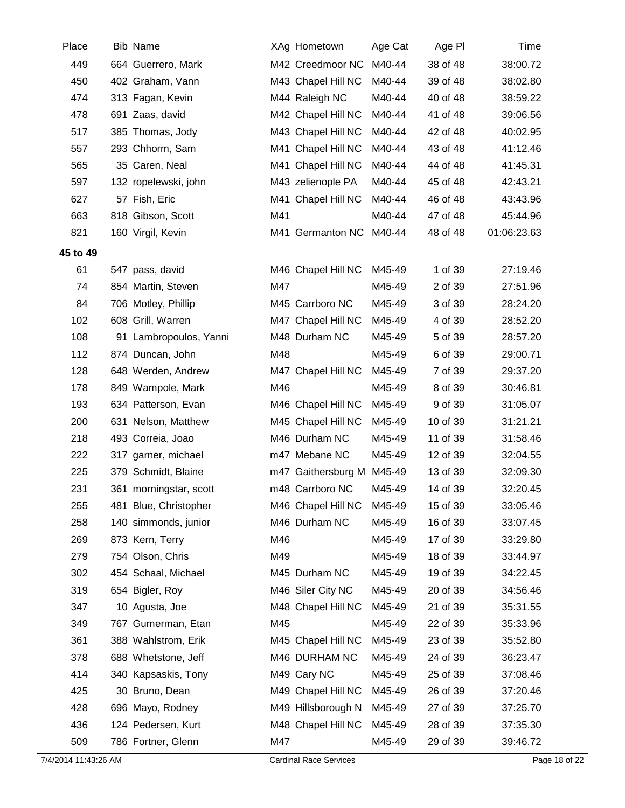| Place    | Bib Name               |     | XAg Hometown              | Age Cat | Age PI   | Time        |
|----------|------------------------|-----|---------------------------|---------|----------|-------------|
| 449      | 664 Guerrero, Mark     |     | M42 Creedmoor NC          | M40-44  | 38 of 48 | 38:00.72    |
| 450      | 402 Graham, Vann       |     | M43 Chapel Hill NC        | M40-44  | 39 of 48 | 38:02.80    |
| 474      | 313 Fagan, Kevin       |     | M44 Raleigh NC            | M40-44  | 40 of 48 | 38:59.22    |
| 478      | 691 Zaas, david        |     | M42 Chapel Hill NC        | M40-44  | 41 of 48 | 39:06.56    |
| 517      | 385 Thomas, Jody       |     | M43 Chapel Hill NC        | M40-44  | 42 of 48 | 40:02.95    |
| 557      | 293 Chhorm, Sam        |     | M41 Chapel Hill NC        | M40-44  | 43 of 48 | 41:12.46    |
| 565      | 35 Caren, Neal         |     | M41 Chapel Hill NC        | M40-44  | 44 of 48 | 41:45.31    |
| 597      | 132 ropelewski, john   |     | M43 zelienople PA         | M40-44  | 45 of 48 | 42:43.21    |
| 627      | 57 Fish, Eric          |     | M41 Chapel Hill NC        | M40-44  | 46 of 48 | 43:43.96    |
| 663      | 818 Gibson, Scott      | M41 |                           | M40-44  | 47 of 48 | 45:44.96    |
| 821      | 160 Virgil, Kevin      |     | M41 Germanton NC          | M40-44  | 48 of 48 | 01:06:23.63 |
| 45 to 49 |                        |     |                           |         |          |             |
| 61       | 547 pass, david        |     | M46 Chapel Hill NC        | M45-49  | 1 of 39  | 27:19.46    |
| 74       | 854 Martin, Steven     | M47 |                           | M45-49  | 2 of 39  | 27:51.96    |
| 84       | 706 Motley, Phillip    |     | M45 Carrboro NC           | M45-49  | 3 of 39  | 28:24.20    |
| 102      | 608 Grill, Warren      |     | M47 Chapel Hill NC        | M45-49  | 4 of 39  | 28:52.20    |
| 108      | 91 Lambropoulos, Yanni |     | M48 Durham NC             | M45-49  | 5 of 39  | 28:57.20    |
| 112      | 874 Duncan, John       | M48 |                           | M45-49  | 6 of 39  | 29:00.71    |
| 128      | 648 Werden, Andrew     |     | M47 Chapel Hill NC        | M45-49  | 7 of 39  | 29:37.20    |
| 178      | 849 Wampole, Mark      | M46 |                           | M45-49  | 8 of 39  | 30:46.81    |
| 193      | 634 Patterson, Evan    |     | M46 Chapel Hill NC        | M45-49  | 9 of 39  | 31:05.07    |
| 200      | 631 Nelson, Matthew    |     | M45 Chapel Hill NC        | M45-49  | 10 of 39 | 31:21.21    |
| 218      | 493 Correia, Joao      |     | M46 Durham NC             | M45-49  | 11 of 39 | 31:58.46    |
| 222      | 317 garner, michael    |     | m47 Mebane NC             | M45-49  | 12 of 39 | 32:04.55    |
| 225      | 379 Schmidt, Blaine    |     | m47 Gaithersburg M M45-49 |         | 13 of 39 | 32:09.30    |
| 231      | 361 morningstar, scott |     | m48 Carrboro NC           | M45-49  | 14 of 39 | 32:20.45    |
| 255      | 481 Blue, Christopher  |     | M46 Chapel Hill NC        | M45-49  | 15 of 39 | 33:05.46    |
| 258      | 140 simmonds, junior   |     | M46 Durham NC             | M45-49  | 16 of 39 | 33:07.45    |
| 269      | 873 Kern, Terry        | M46 |                           | M45-49  | 17 of 39 | 33:29.80    |
| 279      | 754 Olson, Chris       | M49 |                           | M45-49  | 18 of 39 | 33:44.97    |
| 302      | 454 Schaal, Michael    |     | M45 Durham NC             | M45-49  | 19 of 39 | 34:22.45    |
| 319      | 654 Bigler, Roy        |     | M46 Siler City NC         | M45-49  | 20 of 39 | 34:56.46    |
| 347      | 10 Agusta, Joe         |     | M48 Chapel Hill NC        | M45-49  | 21 of 39 | 35:31.55    |
| 349      | 767 Gumerman, Etan     | M45 |                           | M45-49  | 22 of 39 | 35:33.96    |
| 361      | 388 Wahlstrom, Erik    |     | M45 Chapel Hill NC        | M45-49  | 23 of 39 | 35:52.80    |
| 378      | 688 Whetstone, Jeff    |     | M46 DURHAM NC             | M45-49  | 24 of 39 | 36:23.47    |
| 414      | 340 Kapsaskis, Tony    |     | M49 Cary NC               | M45-49  | 25 of 39 | 37:08.46    |
| 425      | 30 Bruno, Dean         |     | M49 Chapel Hill NC        | M45-49  | 26 of 39 | 37:20.46    |
| 428      | 696 Mayo, Rodney       |     | M49 Hillsborough N        | M45-49  | 27 of 39 | 37:25.70    |
| 436      | 124 Pedersen, Kurt     |     | M48 Chapel Hill NC        | M45-49  | 28 of 39 | 37:35.30    |
| 509      | 786 Fortner, Glenn     | M47 |                           | M45-49  | 29 of 39 | 39:46.72    |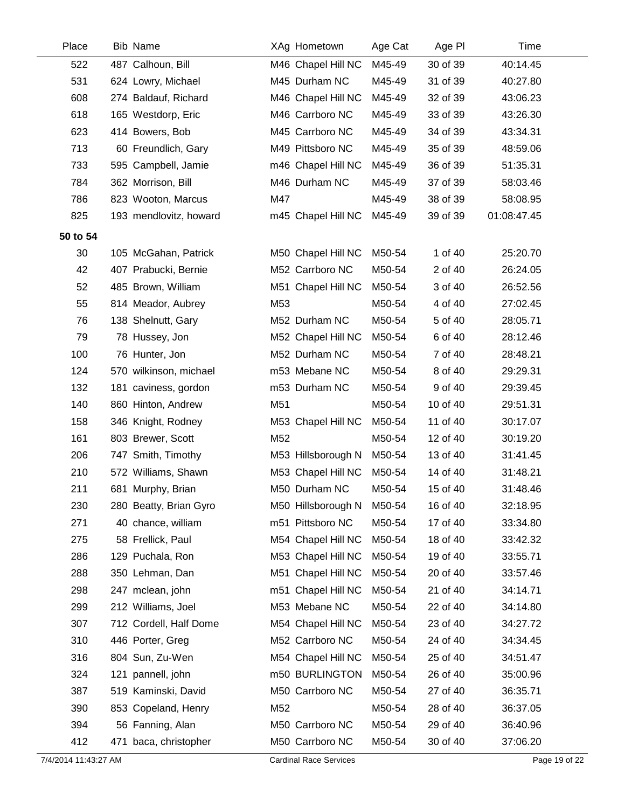| Place    | <b>Bib Name</b>          | XAg Hometown       | Age Cat | Age PI   | Time        |  |
|----------|--------------------------|--------------------|---------|----------|-------------|--|
| 522      | 487 Calhoun, Bill        | M46 Chapel Hill NC | M45-49  | 30 of 39 | 40:14.45    |  |
| 531      | 624 Lowry, Michael       | M45 Durham NC      | M45-49  | 31 of 39 | 40:27.80    |  |
| 608      | 274 Baldauf, Richard     | M46 Chapel Hill NC | M45-49  | 32 of 39 | 43:06.23    |  |
| 618      | 165 Westdorp, Eric       | M46 Carrboro NC    | M45-49  | 33 of 39 | 43:26.30    |  |
| 623      | 414 Bowers, Bob          | M45 Carrboro NC    | M45-49  | 34 of 39 | 43:34.31    |  |
| 713      | 60 Freundlich, Gary      | M49 Pittsboro NC   | M45-49  | 35 of 39 | 48:59.06    |  |
| 733      | 595 Campbell, Jamie      | m46 Chapel Hill NC | M45-49  | 36 of 39 | 51:35.31    |  |
| 784      | 362 Morrison, Bill       | M46 Durham NC      | M45-49  | 37 of 39 | 58:03.46    |  |
| 786      | 823 Wooton, Marcus       | M47                | M45-49  | 38 of 39 | 58:08.95    |  |
| 825      | 193 mendlovitz, howard   | m45 Chapel Hill NC | M45-49  | 39 of 39 | 01:08:47.45 |  |
| 50 to 54 |                          |                    |         |          |             |  |
| 30       | 105 McGahan, Patrick     | M50 Chapel Hill NC | M50-54  | 1 of 40  | 25:20.70    |  |
| 42       | 407 Prabucki, Bernie     | M52 Carrboro NC    | M50-54  | 2 of 40  | 26:24.05    |  |
| 52       | 485 Brown, William       | M51 Chapel Hill NC | M50-54  | 3 of 40  | 26:52.56    |  |
| 55       | 814 Meador, Aubrey       | M53                | M50-54  | 4 of 40  | 27:02.45    |  |
| 76       | 138 Shelnutt, Gary       | M52 Durham NC      | M50-54  | 5 of 40  | 28:05.71    |  |
| 79       | 78 Hussey, Jon           | M52 Chapel Hill NC | M50-54  | 6 of 40  | 28:12.46    |  |
| 100      | 76 Hunter, Jon           | M52 Durham NC      | M50-54  | 7 of 40  | 28:48.21    |  |
| 124      | 570 wilkinson, michael   | m53 Mebane NC      | M50-54  | 8 of 40  | 29:29.31    |  |
| 132      | 181 caviness, gordon     | m53 Durham NC      | M50-54  | 9 of 40  | 29:39.45    |  |
| 140      | 860 Hinton, Andrew       | M51                | M50-54  | 10 of 40 | 29:51.31    |  |
| 158      | 346 Knight, Rodney       | M53 Chapel Hill NC | M50-54  | 11 of 40 | 30:17.07    |  |
| 161      | 803 Brewer, Scott        | M52                | M50-54  | 12 of 40 | 30:19.20    |  |
| 206      | 747 Smith, Timothy       | M53 Hillsborough N | M50-54  | 13 of 40 | 31:41.45    |  |
| 210      | 572 Williams, Shawn      | M53 Chapel Hill NC | M50-54  | 14 of 40 | 31:48.21    |  |
| 211      | 681 Murphy, Brian        | M50 Durham NC      | M50-54  | 15 of 40 | 31:48.46    |  |
| 230      | 280 Beatty, Brian Gyro   | M50 Hillsborough N | M50-54  | 16 of 40 | 32:18.95    |  |
| 271      | 40 chance, william       | m51 Pittsboro NC   | M50-54  | 17 of 40 | 33:34.80    |  |
| 275      | 58 Frellick, Paul        | M54 Chapel Hill NC | M50-54  | 18 of 40 | 33:42.32    |  |
| 286      | 129 Puchala, Ron         | M53 Chapel Hill NC | M50-54  | 19 of 40 | 33:55.71    |  |
| 288      | 350 Lehman, Dan          | M51 Chapel Hill NC | M50-54  | 20 of 40 | 33:57.46    |  |
| 298      | 247 mclean, john         | m51 Chapel Hill NC | M50-54  | 21 of 40 | 34:14.71    |  |
| 299      | 212 Williams, Joel       | M53 Mebane NC      | M50-54  | 22 of 40 | 34:14.80    |  |
| 307      | 712 Cordell, Half Dome   | M54 Chapel Hill NC | M50-54  | 23 of 40 | 34:27.72    |  |
| 310      | 446 Porter, Greg         | M52 Carrboro NC    | M50-54  | 24 of 40 | 34:34.45    |  |
| 316      | 804 Sun, Zu-Wen          | M54 Chapel Hill NC | M50-54  | 25 of 40 | 34:51.47    |  |
| 324      | 121 pannell, john        | m50 BURLINGTON     | M50-54  | 26 of 40 | 35:00.96    |  |
| 387      | 519 Kaminski, David      | M50 Carrboro NC    | M50-54  | 27 of 40 | 36:35.71    |  |
| 390      | 853 Copeland, Henry      | M52                | M50-54  | 28 of 40 | 36:37.05    |  |
| 394      | 56 Fanning, Alan         | M50 Carrboro NC    | M50-54  | 29 of 40 | 36:40.96    |  |
| 412      | baca, christopher<br>471 | M50 Carrboro NC    | M50-54  | 30 of 40 | 37:06.20    |  |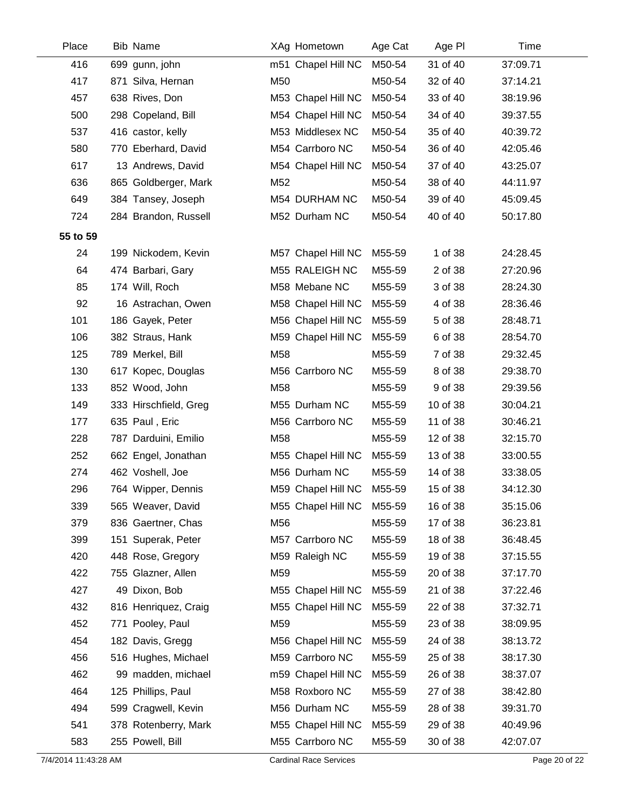| Place    | <b>Bib Name</b>       | XAg Hometown       | Age Cat | Age PI   | Time     |
|----------|-----------------------|--------------------|---------|----------|----------|
| 416      | 699 gunn, john        | m51 Chapel Hill NC | M50-54  | 31 of 40 | 37:09.71 |
| 417      | 871 Silva, Hernan     | M50                | M50-54  | 32 of 40 | 37:14.21 |
| 457      | 638 Rives, Don        | M53 Chapel Hill NC | M50-54  | 33 of 40 | 38:19.96 |
| 500      | 298 Copeland, Bill    | M54 Chapel Hill NC | M50-54  | 34 of 40 | 39:37.55 |
| 537      | 416 castor, kelly     | M53 Middlesex NC   | M50-54  | 35 of 40 | 40:39.72 |
| 580      | 770 Eberhard, David   | M54 Carrboro NC    | M50-54  | 36 of 40 | 42:05.46 |
| 617      | 13 Andrews, David     | M54 Chapel Hill NC | M50-54  | 37 of 40 | 43:25.07 |
| 636      | 865 Goldberger, Mark  | M52                | M50-54  | 38 of 40 | 44:11.97 |
| 649      | 384 Tansey, Joseph    | M54 DURHAM NC      | M50-54  | 39 of 40 | 45:09.45 |
| 724      | 284 Brandon, Russell  | M52 Durham NC      | M50-54  | 40 of 40 | 50:17.80 |
| 55 to 59 |                       |                    |         |          |          |
| 24       | 199 Nickodem, Kevin   | M57 Chapel Hill NC | M55-59  | 1 of 38  | 24:28.45 |
| 64       | 474 Barbari, Gary     | M55 RALEIGH NC     | M55-59  | 2 of 38  | 27:20.96 |
| 85       | 174 Will, Roch        | M58 Mebane NC      | M55-59  | 3 of 38  | 28:24.30 |
| 92       | 16 Astrachan, Owen    | M58 Chapel Hill NC | M55-59  | 4 of 38  | 28:36.46 |
| 101      | 186 Gayek, Peter      | M56 Chapel Hill NC | M55-59  | 5 of 38  | 28:48.71 |
| 106      | 382 Straus, Hank      | M59 Chapel Hill NC | M55-59  | 6 of 38  | 28:54.70 |
| 125      | 789 Merkel, Bill      | M58                | M55-59  | 7 of 38  | 29:32.45 |
| 130      | 617 Kopec, Douglas    | M56 Carrboro NC    | M55-59  | 8 of 38  | 29:38.70 |
| 133      | 852 Wood, John        | M58                | M55-59  | 9 of 38  | 29:39.56 |
| 149      | 333 Hirschfield, Greg | M55 Durham NC      | M55-59  | 10 of 38 | 30:04.21 |
| 177      | 635 Paul, Eric        | M56 Carrboro NC    | M55-59  | 11 of 38 | 30:46.21 |
| 228      | 787 Darduini, Emilio  | M58                | M55-59  | 12 of 38 | 32:15.70 |
| 252      | 662 Engel, Jonathan   | M55 Chapel Hill NC | M55-59  | 13 of 38 | 33:00.55 |
| 274      | 462 Voshell, Joe      | M56 Durham NC      | M55-59  | 14 of 38 | 33:38.05 |
| 296      | 764 Wipper, Dennis    | M59 Chapel Hill NC | M55-59  | 15 of 38 | 34:12.30 |
| 339      | 565 Weaver, David     | M55 Chapel Hill NC | M55-59  | 16 of 38 | 35:15.06 |
| 379      | 836 Gaertner, Chas    | M56                | M55-59  | 17 of 38 | 36:23.81 |
| 399      | 151 Superak, Peter    | M57 Carrboro NC    | M55-59  | 18 of 38 | 36:48.45 |
| 420      | 448 Rose, Gregory     | M59 Raleigh NC     | M55-59  | 19 of 38 | 37:15.55 |
| 422      | 755 Glazner, Allen    | M59                | M55-59  | 20 of 38 | 37:17.70 |
| 427      | 49 Dixon, Bob         | M55 Chapel Hill NC | M55-59  | 21 of 38 | 37:22.46 |
| 432      | 816 Henriquez, Craig  | M55 Chapel Hill NC | M55-59  | 22 of 38 | 37:32.71 |
| 452      | 771 Pooley, Paul      | M59                | M55-59  | 23 of 38 | 38:09.95 |
| 454      | 182 Davis, Gregg      | M56 Chapel Hill NC | M55-59  | 24 of 38 | 38:13.72 |
| 456      | 516 Hughes, Michael   | M59 Carrboro NC    | M55-59  | 25 of 38 | 38:17.30 |
| 462      | 99 madden, michael    | m59 Chapel Hill NC | M55-59  | 26 of 38 | 38:37.07 |
| 464      | 125 Phillips, Paul    | M58 Roxboro NC     | M55-59  | 27 of 38 | 38:42.80 |
| 494      | 599 Cragwell, Kevin   | M56 Durham NC      | M55-59  | 28 of 38 | 39:31.70 |
| 541      | 378 Rotenberry, Mark  | M55 Chapel Hill NC | M55-59  | 29 of 38 | 40:49.96 |
| 583      | 255 Powell, Bill      | M55 Carrboro NC    | M55-59  | 30 of 38 | 42:07.07 |
|          |                       |                    |         |          |          |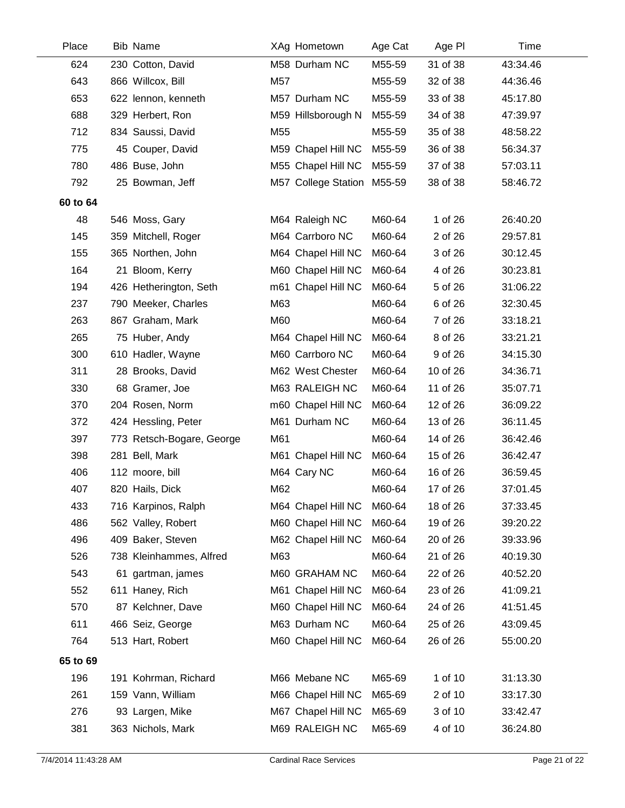| Place    | <b>Bib Name</b>           |     | XAg Hometown        | Age Cat | Age PI   | Time     |  |
|----------|---------------------------|-----|---------------------|---------|----------|----------|--|
| 624      | 230 Cotton, David         |     | M58 Durham NC       | M55-59  | 31 of 38 | 43:34.46 |  |
| 643      | 866 Willcox, Bill         | M57 |                     | M55-59  | 32 of 38 | 44:36.46 |  |
| 653      | 622 lennon, kenneth       |     | M57 Durham NC       | M55-59  | 33 of 38 | 45:17.80 |  |
| 688      | 329 Herbert, Ron          |     | M59 Hillsborough N  | M55-59  | 34 of 38 | 47:39.97 |  |
| 712      | 834 Saussi, David         | M55 |                     | M55-59  | 35 of 38 | 48:58.22 |  |
| 775      | 45 Couper, David          |     | M59 Chapel Hill NC  | M55-59  | 36 of 38 | 56:34.37 |  |
| 780      | 486 Buse, John            |     | M55 Chapel Hill NC  | M55-59  | 37 of 38 | 57:03.11 |  |
| 792      | 25 Bowman, Jeff           |     | M57 College Station | M55-59  | 38 of 38 | 58:46.72 |  |
| 60 to 64 |                           |     |                     |         |          |          |  |
| 48       | 546 Moss, Gary            |     | M64 Raleigh NC      | M60-64  | 1 of 26  | 26:40.20 |  |
| 145      | 359 Mitchell, Roger       |     | M64 Carrboro NC     | M60-64  | 2 of 26  | 29:57.81 |  |
| 155      | 365 Northen, John         |     | M64 Chapel Hill NC  | M60-64  | 3 of 26  | 30:12.45 |  |
| 164      | 21 Bloom, Kerry           |     | M60 Chapel Hill NC  | M60-64  | 4 of 26  | 30:23.81 |  |
| 194      | 426 Hetherington, Seth    |     | m61 Chapel Hill NC  | M60-64  | 5 of 26  | 31:06.22 |  |
| 237      | 790 Meeker, Charles       | M63 |                     | M60-64  | 6 of 26  | 32:30.45 |  |
| 263      | 867 Graham, Mark          | M60 |                     | M60-64  | 7 of 26  | 33:18.21 |  |
| 265      | 75 Huber, Andy            |     | M64 Chapel Hill NC  | M60-64  | 8 of 26  | 33:21.21 |  |
| 300      | 610 Hadler, Wayne         |     | M60 Carrboro NC     | M60-64  | 9 of 26  | 34:15.30 |  |
| 311      | 28 Brooks, David          |     | M62 West Chester    | M60-64  | 10 of 26 | 34:36.71 |  |
| 330      | 68 Gramer, Joe            |     | M63 RALEIGH NC      | M60-64  | 11 of 26 | 35:07.71 |  |
| 370      | 204 Rosen, Norm           |     | m60 Chapel Hill NC  | M60-64  | 12 of 26 | 36:09.22 |  |
| 372      | 424 Hessling, Peter       |     | M61 Durham NC       | M60-64  | 13 of 26 | 36:11.45 |  |
| 397      | 773 Retsch-Bogare, George | M61 |                     | M60-64  | 14 of 26 | 36:42.46 |  |
| 398      | 281 Bell, Mark            |     | M61 Chapel Hill NC  | M60-64  | 15 of 26 | 36:42.47 |  |
| 406      | 112 moore, bill           |     | M64 Cary NC         | M60-64  | 16 of 26 | 36:59.45 |  |
| 407      | 820 Hails, Dick           | M62 |                     | M60-64  | 17 of 26 | 37:01.45 |  |
| 433      | 716 Karpinos, Ralph       |     | M64 Chapel Hill NC  | M60-64  | 18 of 26 | 37:33.45 |  |
| 486      | 562 Valley, Robert        |     | M60 Chapel Hill NC  | M60-64  | 19 of 26 | 39:20.22 |  |
| 496      | 409 Baker, Steven         |     | M62 Chapel Hill NC  | M60-64  | 20 of 26 | 39:33.96 |  |
| 526      | 738 Kleinhammes, Alfred   | M63 |                     | M60-64  | 21 of 26 | 40:19.30 |  |
| 543      | 61 gartman, james         |     | M60 GRAHAM NC       | M60-64  | 22 of 26 | 40:52.20 |  |
| 552      | 611 Haney, Rich           |     | M61 Chapel Hill NC  | M60-64  | 23 of 26 | 41:09.21 |  |
| 570      | 87 Kelchner, Dave         |     | M60 Chapel Hill NC  | M60-64  | 24 of 26 | 41:51.45 |  |
| 611      | 466 Seiz, George          |     | M63 Durham NC       | M60-64  | 25 of 26 | 43:09.45 |  |
| 764      | 513 Hart, Robert          |     | M60 Chapel Hill NC  | M60-64  | 26 of 26 | 55:00.20 |  |
| 65 to 69 |                           |     |                     |         |          |          |  |
| 196      | 191 Kohrman, Richard      |     | M66 Mebane NC       | M65-69  | 1 of 10  | 31:13.30 |  |
| 261      | 159 Vann, William         |     | M66 Chapel Hill NC  | M65-69  | 2 of 10  | 33:17.30 |  |
| 276      | 93 Largen, Mike           |     | M67 Chapel Hill NC  | M65-69  | 3 of 10  | 33:42.47 |  |
| 381      | 363 Nichols, Mark         |     | M69 RALEIGH NC      | M65-69  | 4 of 10  | 36:24.80 |  |
|          |                           |     |                     |         |          |          |  |